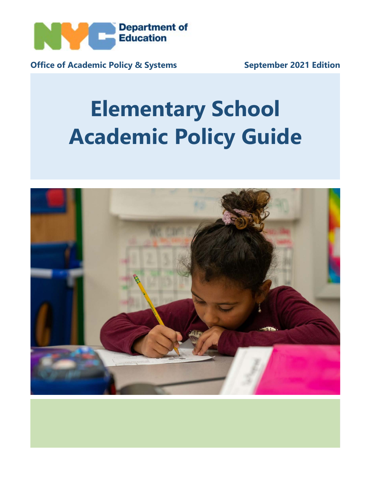

**Office of Academic Policy & Systems September 2021 Edition**

# **Elementary School Academic Policy Guide**

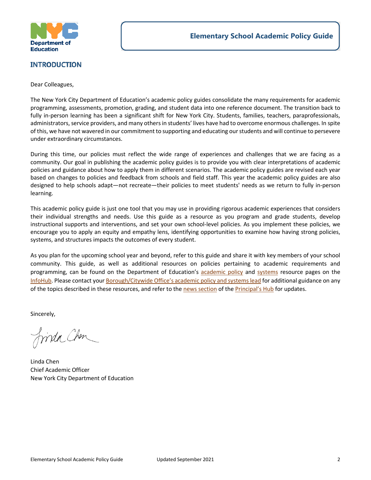

#### <span id="page-1-0"></span>**INTRODUCTION**

Dear Colleagues,

The New York City Department of Education's academic policy guides consolidate the many requirements for academic programming, assessments, promotion, grading, and student data into one reference document. The transition back to fully in-person learning has been a significant shift for New York City. Students, families, teachers, paraprofessionals, administrators, service providers, and many others in students' lives have had to overcome enormous challenges. In spite of this, we have not wavered in our commitment to supporting and educating our students and will continue to persevere under extraordinary circumstances.

During this time, our policies must reflect the wide range of experiences and challenges that we are facing as a community. Our goal in publishing the academic policy guides is to provide you with clear interpretations of academic policies and guidance about how to apply them in different scenarios. The academic policy guides are revised each year based on changes to policies and feedback from schools and field staff. This year the academic policy guides are also designed to help schools adapt—not recreate—their policies to meet students' needs as we return to fully in-person learning.

This academic policy guide is just one tool that you may use in providing rigorous academic experiences that considers their individual strengths and needs. Use this guide as a resource as you program and grade students, develop instructional supports and interventions, and set your own school-level policies. As you implement these policies, we encourage you to apply an equity and empathy lens, identifying opportunities to examine how having strong policies, systems, and structures impacts the outcomes of every student.

As you plan for the upcoming school year and beyond, refer to this guide and share it with key members of your school community. This guide, as well as additional resources on policies pertaining to academic requirements and programming, can be found on the Department of Education's [academic policy](https://infohub.nyced.org/nyc-doe-topics/Policies/academic-policy-resources) and [systems](https://infohub.nyced.org/nyc-doe-topics/Policies/academic-systems-resources) resource pages on the [InfoHub.](https://infohub.nyced.org/nyc-doe-topics/Policies/academic-policy-resources) Please contact your [Borough/Citywide Office's academic policy and systems lead](https://docs.google.com/spreadsheets/d/1k0vfou2apHducJp9HK_eP2OMe3IODi_hJX0t-8VDLxY/pubhtml) for additional guidance on any of the topics described in these resources, and refer to th[e news section](https://nycdoe.sharepoint.com/sites/PrincipalsHub/_layouts/15/news.aspx?newsSource=1&instanceId=03a8b719-f245-4ac6-855e-688105a8fc08&webPartId=8c88f208-6c77-4bdb-86a0-0c47b4316588&serverRelativeUrl=%2Fsites%2FPrincipalsHub&pagesListId=b3f712f5-6b7c-47a2-ae33-0a51f7a3df31) of th[e Principal's Hub](https://nycdoe.sharepoint.com/sites/PrincipalsHub) for updates.

Sincerely,

frinda Chen

Linda Chen Chief Academic Officer New York City Department of Education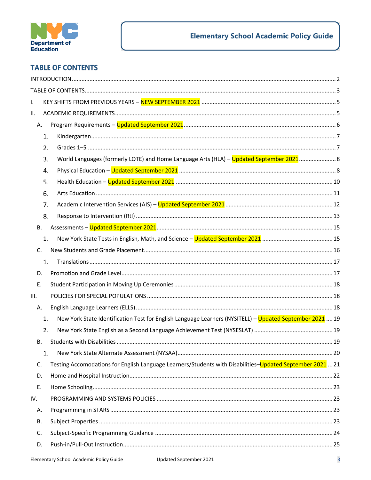

## <span id="page-2-0"></span>**TABLE OF CONTENTS**

| I.  |           |                                                                                                           |  |  |  |
|-----|-----------|-----------------------------------------------------------------------------------------------------------|--|--|--|
| ΙΙ. |           |                                                                                                           |  |  |  |
|     | Α.        |                                                                                                           |  |  |  |
|     | 1.        |                                                                                                           |  |  |  |
|     | 2.        |                                                                                                           |  |  |  |
|     | 3.        |                                                                                                           |  |  |  |
|     | 4.        |                                                                                                           |  |  |  |
|     | 5.        |                                                                                                           |  |  |  |
|     | 6.        |                                                                                                           |  |  |  |
|     | 7.        |                                                                                                           |  |  |  |
|     | 8.        |                                                                                                           |  |  |  |
|     | В.        |                                                                                                           |  |  |  |
|     | 1.        |                                                                                                           |  |  |  |
|     | C.        |                                                                                                           |  |  |  |
|     | 1.        |                                                                                                           |  |  |  |
|     | D.        |                                                                                                           |  |  |  |
|     | Ε.        |                                                                                                           |  |  |  |
| Ш.  |           |                                                                                                           |  |  |  |
|     | А.        |                                                                                                           |  |  |  |
|     | 1.        | New York State Identification Test for English Language Learners (NYSITELL) - Updated September 2021  19  |  |  |  |
|     | 2.        |                                                                                                           |  |  |  |
|     | В.        |                                                                                                           |  |  |  |
|     | 1.        |                                                                                                           |  |  |  |
|     | C.        | Testing Accomodations for English Language Learners/Students with Disabilities-Updated September 2021  21 |  |  |  |
|     | D.        |                                                                                                           |  |  |  |
|     | Ε.        |                                                                                                           |  |  |  |
| IV. |           |                                                                                                           |  |  |  |
|     | Α.        |                                                                                                           |  |  |  |
|     | <b>B.</b> |                                                                                                           |  |  |  |
|     | C.        |                                                                                                           |  |  |  |
|     | D.        |                                                                                                           |  |  |  |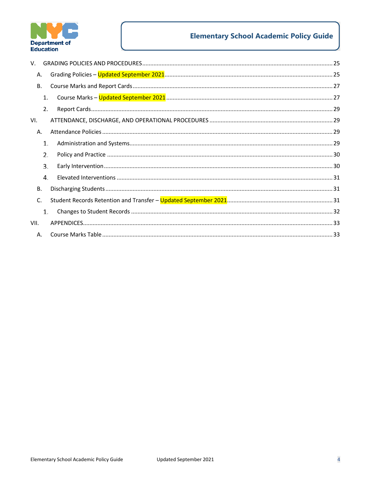

# **Elementary School Academic Policy Guide**

| V.   |                |  |
|------|----------------|--|
|      | Α.             |  |
|      | <b>B.</b>      |  |
|      | 1.             |  |
|      | 2.             |  |
| VI.  |                |  |
|      | Α.             |  |
|      | 1.             |  |
|      | 2.             |  |
|      | 3.             |  |
|      | $\mathbf{4}$ . |  |
|      | <b>B.</b>      |  |
|      | C.             |  |
|      | 1.             |  |
| VII. |                |  |
|      | A.             |  |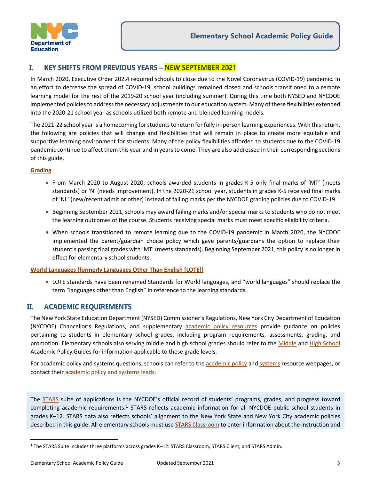

#### <span id="page-4-0"></span>I. **KEY SHIFTS FROM PREVIOUS YEARS - NEW SEPTEMBER 2021**

In March 2020, Executive Order 202.4 required schools to close due to the Novel Coronavirus (COVID-19) pandemic. In an effort to decrease the spread of COVID-19, school buildings remained closed and schools transitioned to a remote learning model for the rest of the 2019-20 school year (including summer). During this time both NYSED and NYCDOE implemented policies to address the necessary adjustments to our education system. Many of these flexibilities extended into the 2020-21 school year as schools utilized both remote and blended learning models.

The 2021-22 school year is a homecoming for students to return for fully in-person learning experiences. With this return, the following are policies that will change and flexibilities that will remain in place to create more equitable and supportive learning environment for students. Many of the policy flexibilities afforded to students due to the COVID-19 pandemic continue to affect them this year and in years to come. They are also addressed in their corresponding sections of this guide.

#### **[Grading](#page-24-2)**

- From March 2020 to August 2020, schools awarded students in grades K-5 only final marks of 'MT' (meets standards) or 'N' (needs improvement). In the 2020-21 school year, students in grades K-5 received final marks of 'NL' (new/recent admit or other) instead of failing marks per the NYCDOE grading policies due to COVID-19.
- Beginning September 2021, schools may award failing marks and/or special marks to students who do not meet the learning outcomes of the course. Students receiving special marks must meet specific eligibility criteria.
- When schools transitioned to remote learning due to the COVID-19 pandemic in March 2020, the NYCDOE implemented the parent/guardian choice policy which gave parents/guardians the option to replace their student's passing final grades with 'MT' (meets standards). Beginning September 2021, this policy is no longer in effect for elementary school students.

#### **[World Languages \(formerly Languages Other Than English \[LOTE\]\)](#page-7-0)**

• LOTE standards have been renamed Standards for World languages, and "world languages" should replace the term "languages other than English" in reference to the learning standards.

#### <span id="page-4-1"></span>П. **ACADEMIC REQUIREMENTS**

The New York State Education Department (NYSED) Commissioner's Regulations, New York City Department of Education (NYCDOE) Chancellor's Regulations, and supplementary [academic policy resources](http://infohub.nyced.org/nyc-doe-topics/Policies/academic-policy-resources/) provide guidance on policies pertaining to students in elementary school grades, including program requirements, assessments, grading, and promotion. Elementary schools also serving middle and high school grades should refer to the [Middle](https://infohub.nyced.org/docs/default-source/default-document-library/AcPolicy-MiddleSchoolAcademicPolicyGuide) and [High School](https://infohub.nyced.org/docs/default-source/default-document-library/AcPolicy-HighSchoolAcademicPolicyGuide) Academic Policy Guides for information applicable to these grade levels.

For [academic policy](https://infohub.nyced.org/nyc-doe-topics/Policies/academic-policy-resources/) an[d systems](https://infohub.nyced.org/nyc-doe-topics/Policies/academic-systems-resources/) questions, schools can refer to the academic policy and systems resource webpages, or contact their [academic policy and systems leads.](https://docs.google.com/spreadsheets/d/1k0vfou2apHducJp9HK_eP2OMe3IODi_hJX0t-8VDLxY/pubhtml)

The [STARS](http://wiki.nycboe.net/display/HSST/STARS+Wiki+Home+Page) suite of applications is the NYCDOE's official record of students' programs, grades, and progress toward completing academic requirements.<sup>[1](#page-4-2)</sup> STARS reflects academic information for all NYCDOE public school students in grades K–12. STARS data also reflects schools' alignment to the New York State and New York City academic policies described in this guide. All elementary schools must use [STARS Classroom](https://www.nycenet.edu/starsclassroom) to enter information about the instruction and

<span id="page-4-2"></span><sup>1</sup> The STARS Suite includes three platforms across grades K–12: STARS Classroom, STARS Client, and STARS Admin.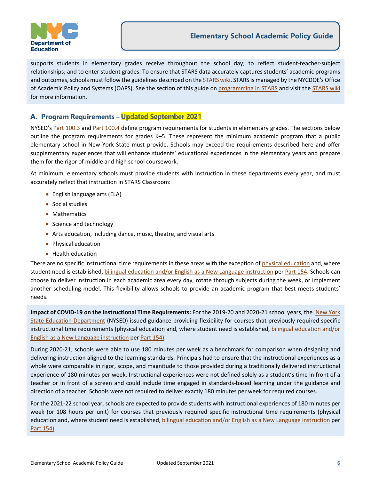

supports students in elementary grades receive throughout the school day; to reflect student-teacher-subject relationships; and to enter student grades. To ensure that STARS data accurately captures students' academic programs and outcomes, schools must follow the guidelines described on the [STARS wiki.](https://wiki.nycenet.edu/display/HSST/STARS+Classroom) STARS is managed by the NYCDOE's Office [of Academic Policy and](http://infohub.nyced.org/nyc-doe-topics/Policies/academic-policy-resources/) Systems (OAPS). See the section of this guide on [programming in STARS](#page-22-2) and visit th[e STARS wiki](https://wiki.nycenet.edu/display/HSST/STARS+Classroom) for more information.

## <span id="page-5-0"></span>A. Program Requirements - Updated September 2021

NYSED's [Part 100.3](http://www.p12.nysed.gov/part100/pages/1003.html) and [Part 100.4](http://www.p12.nysed.gov/part100/pages/1004.html) define program requirements for students in elementary grades. The sections below outline the program requirements for grades K–5. These represent the minimum academic program that a public elementary school in New York State must provide. Schools may exceed the requirements described here and offer supplementary experiences that will enhance students' educational experiences in the elementary years and prepare them for the rigor of middle and high school coursework.

At minimum, elementary schools must provide students with instruction in these departments every year, and must accurately reflect that instruction in STARS Classroom:

- English language arts (ELA)
- Social studies
- Mathematics
- Science and technology
- Arts education, including dance, music, theatre, and visual arts
- Physical education
- Health education

There are no specific instructional time requirements in these areas with the exception of [physical education](#page-7-1) and, where student need is established, [bilingual education and/or English as a New Language](#page-17-2) instruction pe[r Part 154.](http://www.nysed.gov/bilingual-ed/regulations-concerning-english-language-learnersmultilingual-learners) Schools can choose to deliver instruction in each academic area every day, rotate through subjects during the week, or implement another scheduling model. This flexibility allows schools to provide an academic program that best meets students' needs.

**Impact of COVID-19 on the Instructional Time Requirements:** For the 2019-20 and 2020-21 school years, the [New York](http://www.nysed.gov/common/nysed/files/programs/reopening-schools/nys-p12-school-reopening-guidance.pdf)  [State Education Department](http://www.nysed.gov/common/nysed/files/programs/reopening-schools/nys-p12-school-reopening-guidance.pdf) (NYSED) issued guidance providing flexibility for courses that previously required specific instructional time requirements (physical education and, where student need is established, [bilingual education and/or](#page-17-2)  [English as a New Language instruction](#page-17-2) per [Part 154\)](http://www.nysed.gov/bilingual-ed/regulations-concerning-english-language-learnersmultilingual-learners).

During 2020-21, schools were able to use 180 minutes per week as a benchmark for comparison when designing and delivering instruction aligned to the learning standards. Principals had to ensure that the instructional experiences as a whole were comparable in rigor, scope, and magnitude to those provided during a traditionally delivered instructional experience of 180 minutes per week. Instructional experiences were not defined solely as a student's time in front of a teacher or in front of a screen and could include time engaged in standards-based learning under the guidance and direction of a teacher. Schools were not required to deliver exactly 180 minutes per week for required courses.

For the 2021-22 school year, schools are expected to provide students with instructional experiences of 180 minutes per week (or 108 hours per unit) for courses that previously required specific instructional time requirements (physical education and, where student need is established, [bilingual education and/or English as a New Language instruction](#page-17-2) per [Part 154\)](http://www.nysed.gov/bilingual-ed/regulations-concerning-english-language-learnersmultilingual-learners).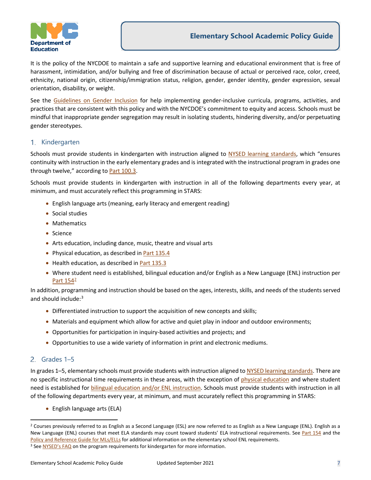

It is the policy of the NYCDOE to maintain a safe and supportive learning and educational environment that is free of harassment, intimidation, and/or bullying and free of discrimination because of actual or perceived race, color, creed, ethnicity, national origin, citizenship/immigration status, religion, gender, gender identity, gender expression, sexual orientation, disability, or weight.

See the [Guidelines on Gender Inclusion](https://www.schools.nyc.gov/school-life/policies-for-all/guidelines-on-gender/guidelines-on-gender-inclusion) for help implementing gender-inclusive curricula, programs, activities, and practices that are consistent with this policy and with the NYCDOE's commitment to equity and access. Schools must be mindful that inappropriate gender segregation may result in isolating students, hindering diversity, and/or perpetuating gender stereotypes.

#### <span id="page-6-0"></span>1. Kindergarten

Schools must provide students in kindergarten with instruction aligned to NYSED [learning standards,](http://www.nysed.gov/curriculum-instruction) which "ensures continuity with instruction in the early elementary grades and is integrated with the instructional program in grades one through twelve," according to [Part 100.3.](http://www.p12.nysed.gov/part100/pages/1003.html)

Schools must provide students in kindergarten with instruction in all of the following departments every year, at minimum, and must accurately reflect this programming in STARS:

- English language arts (meaning, early literacy and emergent reading)
- Social studies
- Mathematics
- Science
- Arts education, including dance, music, theatre and visual arts
- Physical education, as described i[n Part 135.4](https://govt.westlaw.com/nycrr/Document/I365bded1c22211ddb29d8bee567fca9f?viewType=FullText&originationContext=documenttoc&transitionType=CategoryPageItem&contextData=(sc.Default))
- Health education, as described i[n Part 135.3](https://govt.westlaw.com/nycrr/Document/I365bb7cec22211ddb29d8bee567fca9f?viewType=FullText&originationContext=documenttoc&transitionType=CategoryPageItem&contextData=(sc.Default))
- Where student need is established, bilingual education and/or English as a New Language (ENL) instruction per [Part 154](http://www.nysed.gov/bilingual-ed/regulations-concerning-english-language-learnersmultilingual-learners)[2](#page-6-2)

In addition, programming and instruction should be based on the ages, interests, skills, and needs of the students served and should include:<sup>[3](#page-6-3)</sup>

- Differentiated instruction to support the acquisition of new concepts and skills;
- Materials and equipment which allow for active and quiet play in indoor and outdoor environments;
- Opportunities for participation in inquiry-based activities and projects; and
- Opportunities to use a wide variety of information in print and electronic mediums.

#### <span id="page-6-1"></span>Grades 1–5

In grades 1–5, elementary schools must provide students with instruction aligned to [NYSED learning standards.](http://www.nysed.gov/curriculum-instruction) There are no specific instructional time requirements in these areas, with the exception of [physical education](#page-7-1) and where student need is established for [bilingual education and/or ENL](#page-17-2) instruction. Schools must provide students with instruction in all of the following departments every year, at minimum, and must accurately reflect this programming in STARS:

• English language arts (ELA)

<span id="page-6-2"></span><sup>&</sup>lt;sup>2</sup> Courses previously referred to as English as a Second Language (ESL) are now referred to as English as a New Language (ENL). English as a New Language (ENL) courses that meet ELA standards may count toward students' ELA instructional requirements. See [Part 154](http://www.nysed.gov/bilingual-ed/regulations-concerning-english-language-learnersmultilingual-learners) and the [Policy and Reference Guide for MLs/ELLs](https://infohub.nyced.org/docs/default-source/default-document-library/ell-policy-and-reference-guide.pdf) for additional information on the elementary school ENL requirements.

<span id="page-6-3"></span><sup>&</sup>lt;sup>3</sup> Se[e NYSED's FAQ](http://www.p12.nysed.gov/part100/pages/policyearlyliteracyqa.PDF) on the program requirements for kindergarten for more information.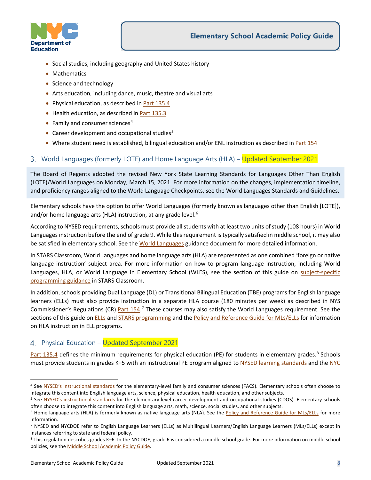

- Social studies, including geography and United States history
- Mathematics
- Science and technology
- Arts education, including dance, music, theatre and visual arts
- Physical education, as described in **Part 135.4**
- Health education, as described in **Part 135.3**
- Family and consumer sciences $4$
- Career development and occupational studies $5$
- Where student need is established, bilingual education and/or ENL instruction as described i[n Part 154](http://www.nysed.gov/bilingual-ed/regulations-concerning-english-language-learnersmultilingual-learners)

#### <span id="page-7-0"></span>World Languages (formerly LOTE) and Home Language Arts (HLA) – Updated September 2021

The Board of Regents adopted the revised New York State Learning Standards for Languages Other Than English (LOTE)/World Languages on Monday, March 15, 2021. For more information on the changes, implementation timeline, and proficiency ranges aligned to the World Language Checkpoints, see the [World Languages Standards and Guidelines.](http://www.nysed.gov/world-languages/standards-and-guidelines)

Elementary schools have the option to offer World Languages (formerly known as languages other than English [LOTE]), and/or home language arts (HLA) instruction, at any grade level.<sup>6</sup>

According to NYSED requirements, schools must provide all students with at least two units of study (108 hours) in World Languages instruction before the end of grade 9. While this requirement is typically satisfied in middle school, it may also be satisfied in elementary school. See the [World Languages](https://infohub.nyced.org/docs/default-source/doe-employees-only/AcPolicy-NYCDOELOTE) guidance document for more detailed information.

In STARS Classroom, World Languages and home language arts (HLA) are represented as one combined 'foreign or native language instruction' subject area. For more information on how to program language instruction, including World Languages, HLA, or World Language in Elementary School (WLES), see the section of this guide on subject-specific [programming guidance](#page-23-0) in STARS Classroom.

In addition, schools providing Dual Language (DL) or Transitional Bilingual Education (TBE) programs for English language learners (ELLs) must also provide instruction in a separate HLA course (180 minutes per week) as described in NYS Commissioner's Regulations (CR) **Part 154.**<sup>[7](#page-7-5)</sup> These courses may also satisfy the World Languages requirement. See the sections of this guide on [ELLs](#page-17-2) and [STARS programming](#page-22-2) and the [Policy and Reference Guide for MLs/ELLs](https://infohub.nyced.org/docs/default-source/default-document-library/ell-policy-and-reference-guide.pdf) for information on HLA instruction in ELL programs.

#### <span id="page-7-1"></span>4. Physical Education – Updated September 2021

[Part 135.4](https://govt.westlaw.com/nycrr/Document/I365bded1c22211ddb29d8bee567fca9f?viewType=FullText&originationContext=documenttoc&transitionType=CategoryPageItem&contextData=(sc.Default)&bhcp=1) defines the minimum requirements for physical education (PE) for students in elementary grades.<sup>[8](#page-7-6)</sup> Schools must provide students in grades K–5 with an instructional PE program aligned t[o NYSED learning standards](http://www.nysed.gov/curriculum-instruction/physical-education) and the NYC

<span id="page-7-2"></span><sup>4</sup> See [NYSED's instructional standards](http://www.p12.nysed.gov/cte/facse/standards.html) for the elementary-level family and consumer sciences (FACS). Elementary schools often choose to integrate this content into English language arts, science, physical education, health education, and other subjects.

<span id="page-7-3"></span><sup>&</sup>lt;sup>5</sup> See [NYSED's instructional standards](http://www.p12.nysed.gov/cte/cdlearn/documents/cdoslea.pdf) for the elementary-level career development and occupational studies (CDOS). Elementary schools often choose to integrate this content into English language arts, math, science, social studies, and other subjects.<br><sup>6</sup> Home language arts (HLA) is formerly known as native language arts (NLA). See the Policy and Referen

<span id="page-7-4"></span>information.

<span id="page-7-5"></span><sup>7</sup> NYSED and NYCDOE refer to English Language Learners (ELLs) as Multilingual Learners/English Language Learners (MLs/ELLs) except in instances referring to state and federal policy.

<span id="page-7-6"></span><sup>8</sup> This regulation describes grades K–6. In the NYCDOE, grade 6 is considered a middle school grade. For more information on middle school policies, see the [Middle School Academic Policy Guide.](https://infohub.nyced.org/docs/default-source/default-document-library/AcPolicy-MiddleSchoolAcademicPolicyGuide)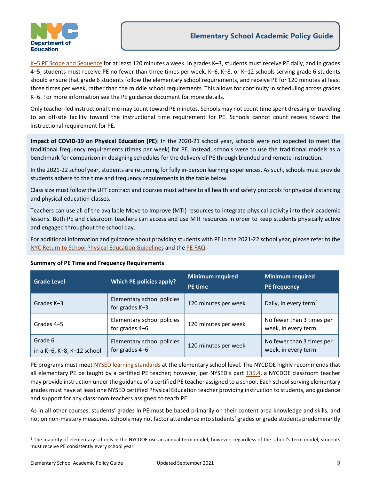

K-5 PE Scope and Sequence for at least 120 minutes a week. In grades K-3, students must receive PE daily, and in grades 4–5, students must receive PE no fewer than three times per week. K–6, K–8, or K–12 schools serving grade 6 students should ensure that grade 6 students follow the elementary school requirements, and receive PE for 120 minutes at least three times per week, rather than the middle school requirements. This allows for continuity in scheduling across grades K–6. For more information see the PE guidance document for more details.

Only teacher-led instructional time may count toward PE minutes. Schools may not count time spent dressing or traveling to an off-site facility toward the instructional time requirement for PE. Schools cannot count recess toward the instructional requirement for PE.

**Impact of COVID-19 on Physical Education (PE)**: In the 2020-21 school year, schools were not expected to meet the traditional frequency requirements (times per week) for PE. Instead, schools were to use the traditional models as a benchmark for comparison in designing schedules for the delivery of PE through blended and remote instruction.

In the 2021-22 school year, students are returning for fully in-person learning experiences. As such, schools must provide students adhere to the time and frequency requirements in the table below.

Class size must follow the UFT contract and courses must adhere to all health and safety protocols for physical distancing and physical education classes.

Teachers can use all of the available Move to Improve (MTI) resources to integrate physical activity into their academic lessons. Both PE and classroom teachers can access and use MTI resources in order to keep students physically active and engaged throughout the school day.

For additional information and guidance about providing students with PE in the 2021-22 school year, please refer to the [NYC Return to School Physical Education Guidelines](https://drive.google.com/file/d/1y1dXCGOjVj3Tw5ZYRaed31wjDWnxsk_2/view) and the PE [FAQ.](https://infohub.nyced.org/docs/default-source/doe-employees-only/AcPolicy-PhysicalEducation)

| <b>Grade Level</b>                            | Which PE policies apply?                     | <b>Minimum required</b><br><b>PE</b> time | <b>Minimum required</b><br><b>PE frequency</b>   |
|-----------------------------------------------|----------------------------------------------|-------------------------------------------|--------------------------------------------------|
| Grades K-3                                    | Elementary school policies<br>for grades K-3 | 120 minutes per week                      | Daily, in every term <sup>9</sup>                |
| Grades 4-5                                    | Elementary school policies<br>for grades 4-6 | 120 minutes per week                      | No fewer than 3 times per<br>week, in every term |
| Grade 6<br>in a $K-6$ , $K-8$ , $K-12$ school | Elementary school policies<br>for grades 4-6 | 120 minutes per week                      | No fewer than 3 times per<br>week, in every term |

#### <span id="page-8-1"></span>**Summary of PE Time and Frequency Requirements**

PE programs must meet [NYSED learning standards](http://www.nysed.gov/curriculum-instruction/physical-education-learning-standards) at the elementary school level. The NYCDOE highly recommends that all elementary PE be taught by a certified PE teacher; however, per NYSED's part [135.4,](https://govt.westlaw.com/nycrr/Document/I365bded1c22211ddb29d8bee567fca9f?viewType=FullText&originationContext=documenttoc&transitionType=CategoryPageItem&contextData=(sc.Default)) a NYCDOE classroom teacher may provide instruction under the guidance of a certified PE teacher assigned to a school. Each school serving elementary grades must have at least one NYSED certified Physical Education teacher providing instruction to students, and guidance and support for any classroom teachers assigned to teach PE.

As in all other courses, students' grades in PE must be based primarily on their content area knowledge and skills, and not on non-mastery measures. Schools may not factor attendance into students' grades or grade students predominantly

<span id="page-8-0"></span><sup>9</sup> The majority of elementary schools in the NYCDOE use an annual term model; however, regardless of the school's term model, students must receive PE consistently every school year.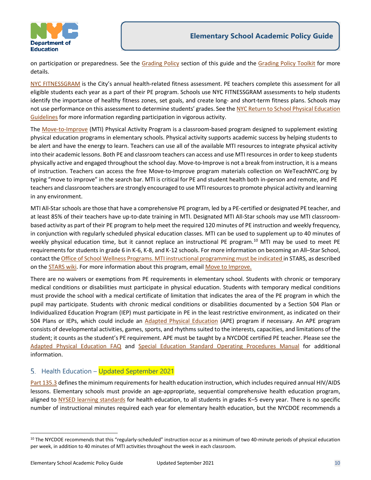

on participation or preparedness. See the [Grading Policy](#page-24-2) section of this guide and the [Grading Policy Toolkit](https://infohub.nyced.org/docs/default-source/doe-employees-only/AcPolicy-GradingPolicyToolkit) for more details.

[NYC FITNESSGRAM](https://www.schools.nyc.gov/school-life/learning/subjects/physical-education) is the City's annual health-related fitness assessment. PE teachers complete this assessment for all eligible students each year as a part of their PE program. Schools use NYC FITNESSGRAM assessments to help students identify the importance of healthy fitness zones, set goals, and create long- and short-term fitness plans. Schools may not use performance on this assessment to determine students' grades. See the NYC Return to School Physical Education [Guidelines](https://drive.google.com/file/d/1y1dXCGOjVj3Tw5ZYRaed31wjDWnxsk_2/view) for more information regarding participation in vigorous activity.

The [Move-to-Improve](https://www.schools.nyc.gov/school-life/learning/subjects/physical-education) (MTI) Physical Activity Program is a classroom-based program designed to supplement existing physical education programs in elementary schools. Physical activity supports academic success by helping students to be alert and have the energy to learn. Teachers can use all of the available MTI resources to integrate physical activity into their academic lessons. Both PE and classroom teachers can access and use MTI resources in order to keep students physically active and engaged throughout the school day. Move-to-Improve is not a break from instruction, it is a means of instruction. Teachers can access the free Move-to-Improve program materials collection on WeTeachNYC.org by typing "move to improve" in the search bar. MTI is critical for PE and student health both in-person and remote, and PE teachers and classroom teachers are strongly encouraged to use MTI resources to promote physical activity and learning in any environment.

MTI All-Star schools are those that have a comprehensive PE program, led by a PE-certified or designated PE teacher, and at least 85% of their teachers have up-to-date training in MTI. Designated MTI All-Star schools may use MTI classroombased activity as part of their PE program to help meet the required 120 minutes of PE instruction and weekly frequency, in conjunction with regularly scheduled physical education classes. MTI can be used to supplement up to 40 minutes of weekly physical education time, but it cannot replace an instructional PE program. [10](#page-9-1) MTI may be used to meet PE requirements for students in grade 6 in K-6, K-8, and K-12 schools. For more information on becoming an All–Star School, contact the [Office of School Wellness Programs.](mailto:MTI@schools.nyc.gov) MTI instructional programming must be indicated in STARS, as described on the [STARS wiki. F](https://wiki.nycenet.edu/display/HSST/ES%2BMTI)or more information about this program, email [Move to Improve.](mailto:mailto:MTI@schools.nyc.gov) 

There are no waivers or exemptions from PE requirements in elementary school. Students with chronic or temporary medical conditions or disabilities must participate in physical education. Students with temporary medical conditions must provide the school with a medical certificate of limitation that indicates the area of the PE program in which the pupil may participate. Students with chronic medical conditions or disabilities documented by a Section 504 Plan or Individualized Education Program (IEP) must participate in PE in the least restrictive environment, as indicated on their 504 Plans or IEPs, which could include an [Adapted Physical Education](http://www.nysed.gov/curriculum-instruction/adaptive-physical-education) (APE) program if necessary. An APE program consists of developmental activities, games, sports, and rhythms suited to the interests, capacities, and limitations of the student; it counts as the student's PE requirement. APE must be taught by a NYCDOE certified PE teacher. Please see the [Adapted Physical Education FAQ](https://drive.google.com/file/d/1UyqxTEcJGkpMv6hFF0lkqWNaPSkZtAc-/view) and [Special Education Standard Operating Procedures Manual](https://infohub.nyced.org/partners-and-providers/special-ed-partners/standard-operating-procedures-manual) for additional information.

## <span id="page-9-0"></span>5. Health Education – Updated September 2021

[Part 135.3](https://govt.westlaw.com/nycrr/Document/I365bb7cec22211ddb29d8bee567fca9f?viewType=FullText&originationContext=documenttoc&transitionType=CategoryPageItem&contextData=(sc.Default)) defines the minimum requirements for health education instruction, which includes required annual HIV/AIDS lessons. Elementary schools must provide an age-appropriate, sequential comprehensive health education program, aligned to [NYSED learning standards](http://www.nysed.gov/curriculum-instruction) for health education, to all students in grades K–5 every year. There is no specific number of instructional minutes required each year for elementary health education, but the NYCDOE recommends a

<span id="page-9-1"></span><sup>&</sup>lt;sup>10</sup> The NYCDOE recommends that this "regularly-scheduled" instruction occur as a minimum of two 40-minute periods of physical education per week, in addition to 40 minutes of MTI activities throughout the week in each classroom.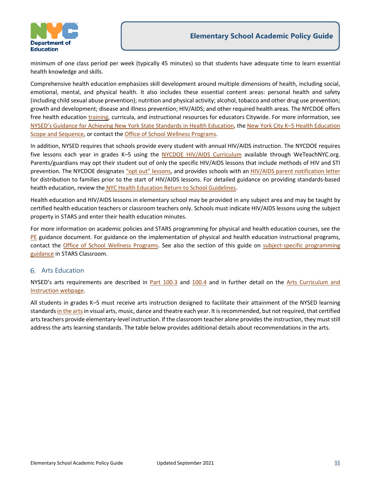

minimum of one class period per week (typically 45 minutes) so that students have adequate time to learn essential health knowledge and skills.

Comprehensive health education emphasizes skill development around multiple dimensions of health, including social, emotional, mental, and physical health. It also includes these essential content areas: personal health and safety (including child sexual abuse prevention); nutrition and physical activity; alcohol, tobacco and other drug use prevention; growth and development; disease and illness prevention; HIV/AIDS; and other required health areas. The NYCDOE offers free health education [training,](https://sites.google.com/view/school-wellness-pl-catalog/home) curricula, and instructional resources for educators Citywide. For more information, see [NYSED's Guidance for Achieving New York State Standards in Health Education,](http://www.p12.nysed.gov/sss/documents/GuidanceDocument4.25.update.pdf) th[e New York City K–5 Health Education](https://www.weteachnyc.org/resources/resource/new-york-city-k-5-health-education-scope-sequence/)  [Scope and Sequence,](https://www.weteachnyc.org/resources/resource/new-york-city-k-5-health-education-scope-sequence/) or contact the [Office of School Wellness Programs.](mailto:wellness@schools.nyc.gov)

In addition, NYSED requires that schools provide every student with annual HIV/AIDS instruction. The NYCDOE requires five lessons each year in grades K–5 using the [NYCDOE HIV/AIDS Curriculum](https://www.weteachnyc.org/resources/resource/hivaids-curriculum-2012-edition/) available through WeTeachNYC.org. Parents/guardians may opt their student out of only the specific HIV/AIDS lessons that include methods of HIV and STI prevention. The NYCDOE designate[s "opt out" lessons,](https://infohub.nyced.org/nyc-doe-topics/teaching-learning/health-education) and provides schools with a[n HIV/AIDS parent notification letter](https://infohub.nyced.org/nyc-doe-topics/teaching-learning/health-education) for distribution to families prior to the start of HIV/AIDS lessons. For detailed guidance on providing standards-based health education, review the [NYC Health Education Return to School Guidelines.](https://drive.google.com/file/d/1VKAYoU7IVVEnMU271_Ih3FBLoKMNGxvv/view)

Health education and HIV/AIDS lessons in elementary school may be provided in any subject area and may be taught by certified health education teachers or classroom teachers only. Schools must indicate HIV/AIDS lessons using the subject property in STARS and enter their health education minutes.

For more information on academic policies and STARS programming for physical and health education courses, see the [PE](https://infohub.nyced.org/docs/default-source/doe-employees-only/AcPolicy-PhysicalEducation) guidance document. For guidance on the implementation of physical and health education instructional programs, contact the [Office of School Wellness Programs.](mailto:wellness@schools.nyc.gov) See also the section of this guide on subject-specific programming [guidance](#page-23-0) in STARS Classroom.

#### <span id="page-10-0"></span>Arts Education

NYSED's arts requirements are described in [Part 100.3](http://www.p12.nysed.gov/part100/pages/1003.html) and [100.4](http://www.p12.nysed.gov/part100/pages/1004.html) and in further detail on the Arts Curriculum and [Instruction webpage.](http://www.nysed.gov/curriculum-instruction/arts)

All students in grades K–5 must receive arts instruction designed to facilitate their attainment of the [NYSED learning](http://www.nysed.gov/curriculum-instruction/arts)  [standards in the artsi](http://www.nysed.gov/curriculum-instruction/arts)n visual arts, music, dance and theatre each year. It is recommended, but not required, that certified arts teachers provide elementary-level instruction. If the classroom teacher alone provides the instruction, they must still address the arts learning standards. The table below provides additional details about recommendations in the arts.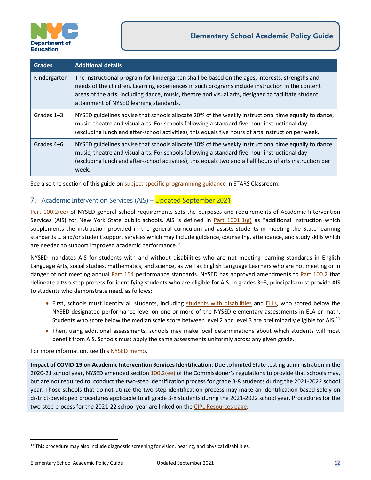

| <b>Grades</b> | <b>Additional details</b>                                                                                                                                                                                                                                                                                                                           |
|---------------|-----------------------------------------------------------------------------------------------------------------------------------------------------------------------------------------------------------------------------------------------------------------------------------------------------------------------------------------------------|
| Kindergarten  | The instructional program for kindergarten shall be based on the ages, interests, strengths and<br>needs of the children. Learning experiences in such programs include instruction in the content<br>areas of the arts, including dance, music, theatre and visual arts, designed to facilitate student<br>attainment of NYSED learning standards. |
| Grades $1-3$  | NYSED guidelines advise that schools allocate 20% of the weekly instructional time equally to dance,<br>music, theatre and visual arts. For schools following a standard five-hour instructional day<br>(excluding lunch and after-school activities), this equals five hours of arts instruction per week.                                         |
| Grades 4-6    | NYSED guidelines advise that schools allocate 10% of the weekly instructional time equally to dance,<br>music, theatre and visual arts. For schools following a standard five-hour instructional day<br>(excluding lunch and after-school activities), this equals two and a half hours of arts instruction per<br>week.                            |

See also the section of this guide o[n subject-specific programming guidance](#page-23-0) in STARS Classroom.

#### <span id="page-11-0"></span>7. Academic Intervention Services (AIS) – Updated September 2021

[Part 100.2\(ee\)](http://www.p12.nysed.gov/part100/pages/1002.html#ee) of NYSED general school requirements sets the purposes and requirements of Academic Intervention Services (AIS) for New York State public schools. AIS is defined in Part  $1001.1(g)$  as "additional instruction which supplements the instruction provided in the general curriculum and assists students in meeting the State learning standards … and/or student support services which may include guidance, counseling, attendance, and study skills which are needed to support improved academic performance."

NYSED mandates AIS for students with and without disabilities who are not meeting learning standards in English Language Arts, social studies, mathematics, and science, as well as English Language Learners who are not meeting or in danger of not meeting annual [Part 154](http://www.nysed.gov/bilingual-ed/regulations-concerning-english-language-learnersmultilingual-learners) performance standards. NYSED has approved amendments to [Part 100.2](http://www.p12.nysed.gov/part100/pages/1002.html#ee) that delineate a two-step process for identifying students who are eligible for AIS. In grades 3–8, principals must provide AIS to students who demonstrate need, as follows:

- First, schools must identify all students, including [students with disabilities](#page-18-2) and [ELLs,](#page-17-2) who scored below the NYSED-designated performance level on one or more of the NYSED elementary assessments in ELA or math. Students who score below the median scale score between level 2 and level 3 are preliminarily eligible for AIS.<sup>[11](#page-11-1)</sup>
- Then, using additional assessments, schools may make local determinations about which students will most benefit from AIS. Schools must apply the same assessments uniformly across any given grade.

For more information, see this [NYSED memo.](http://www.p12.nysed.gov/sss/documents/201920_AISMemo.pdf)

**Impact of COVID-19 on Academic Intervention Services Identification**: Due to limited State testing administration in the 2020-21 school year, NYSED amended section [100.2\(ee\)](http://www.p12.nysed.gov/part100/pages/1002.html#ee) of the Commissioner's regulations to provide that schools may, but are not required to, conduct the two-step identification process for grade 3-8 students during the 2021-2022 school year. Those schools that do not utilize the two-step identification process may make an identification based solely on district-developed procedures applicable to all grade 3-8 students during the 2021-2022 school year. Procedures for the two-step process for the 2021-22 school year are linked on the [CIPL Resources page.](https://infohub.nyced.org/nyc-doe-topics/teaching-learning/core-curriculum-resources/cipl-resources)

<span id="page-11-1"></span><sup>&</sup>lt;sup>11</sup> This procedure may also include diagnostic screening for vision, hearing, and physical disabilities.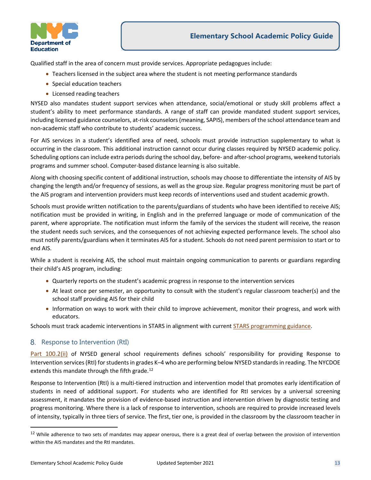

Qualified staff in the area of concern must provide services. Appropriate pedagogues include:

- Teachers licensed in the subject area where the student is not meeting performance standards
- Special education teachers
- Licensed reading teachers

NYSED also mandates student support services when attendance, social/emotional or study skill problems affect a student's ability to meet performance standards. A range of staff can provide mandated student support services, including licensed guidance counselors, at-risk counselors (meaning, SAPIS), members of the school attendance team and non-academic staff who contribute to students' academic success.

For AIS services in a student's identified area of need, schools must provide instruction supplementary to what is occurring in the classroom. This additional instruction cannot occur during classes required by NYSED academic policy. Scheduling options can include extra periods during the school day, before- and after-school programs, weekend tutorials programs and summer school. Computer-based distance learning is also suitable.

Along with choosing specific content of additional instruction, schools may choose to differentiate the intensity of AIS by changing the length and/or frequency of sessions, as well as the group size. Regular progress monitoring must be part of the AIS program and intervention providers must keep records of interventions used and student academic growth.

Schools must provide written notification to the parents/guardians of students who have been identified to receive AIS; notification must be provided in writing, in English and in the preferred language or mode of communication of the parent, where appropriate. The notification must inform the family of the services the student will receive, the reason the student needs such services, and the consequences of not achieving expected performance levels. The school also must notify parents/guardians when it terminates AIS for a student. Schools do not need parent permission to start or to end AIS.

While a student is receiving AIS, the school must maintain ongoing communication to parents or guardians regarding their child's AIS program, including:

- Quarterly reports on the student's academic progress in response to the intervention services
- At least once per semester, an opportunity to consult with the student's regular classroom teacher(s) and the school staff providing AIS for their child
- Information on ways to work with their child to improve achievement, monitor their progress, and work with educators.

Schools must track academic interventions in STARS in alignment with current [STARS programming guidance.](https://infohub.nyced.org/nyc-doe-topics/Policies/academic-policy-resources)

#### <span id="page-12-0"></span>8. Response to Intervention (RtI)

[Part 100.2\(ii\)](http://www.p12.nysed.gov/part100/pages/1002.html#ee) of NYSED general school requirements defines schools' responsibility for providing Response to Intervention services(RtI) for students in grades K–4 who are performing below NYSED standards in reading. The NYCDOE extends this mandate through the fifth grade.<sup>12</sup>

Response to Intervention (RtI) is a multi-tiered instruction and intervention model that promotes early identification of students in need of additional support. For students who are identified for RtI services by a universal screening assessment, it mandates the provision of evidence-based instruction and intervention driven by diagnostic testing and progress monitoring. Where there is a lack of response to intervention, schools are required to provide increased levels of intensity, typically in three tiers of service. The first, tier one, is provided in the classroom by the classroom teacher in

<span id="page-12-1"></span><sup>&</sup>lt;sup>12</sup> While adherence to two sets of mandates may appear onerous, there is a great deal of overlap between the provision of intervention within the AIS mandates and the RtI mandates.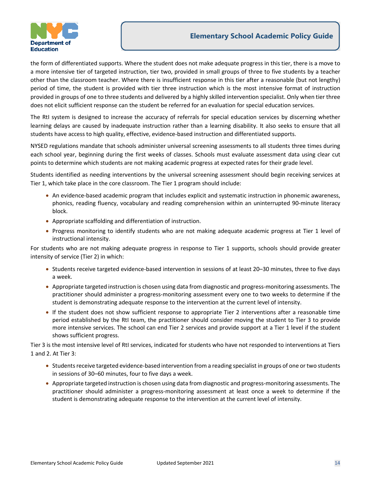

the form of differentiated supports. Where the student does not make adequate progress in this tier, there is a move to a more intensive tier of targeted instruction, tier two, provided in small groups of three to five students by a teacher other than the classroom teacher. Where there is insufficient response in this tier after a reasonable (but not lengthy) period of time, the student is provided with tier three instruction which is the most intensive format of instruction provided in groups of one to three students and delivered by a highly skilled intervention specialist. Only when tier three does not elicit sufficient response can the student be referred for an evaluation for special education services.

The RtI system is designed to increase the accuracy of referrals for special education services by discerning whether learning delays are caused by inadequate instruction rather than a learning disability. It also seeks to ensure that all students have access to high quality, effective, evidence-based instruction and differentiated supports.

NYSED regulations mandate that schools administer universal screening assessments to all students three times during each school year, beginning during the first weeks of classes. Schools must evaluate assessment data using clear cut points to determine which students are not making academic progress at expected rates for their grade level.

Students identified as needing interventions by the universal screening assessment should begin receiving services at Tier 1, which take place in the core classroom. The Tier 1 program should include:

- An evidence-based academic program that includes explicit and systematic instruction in phonemic awareness, phonics, reading fluency, vocabulary and reading comprehension within an uninterrupted 90-minute literacy block.
- Appropriate scaffolding and differentiation of instruction.
- Progress monitoring to identify students who are not making adequate academic progress at Tier 1 level of instructional intensity.

For students who are not making adequate progress in response to Tier 1 supports, schools should provide greater intensity of service (Tier 2) in which:

- Students receive targeted evidence-based intervention in sessions of at least 20–30 minutes, three to five days a week.
- Appropriate targeted instruction is chosen using data from diagnostic and progress-monitoring assessments. The practitioner should administer a progress-monitoring assessment every one to two weeks to determine if the student is demonstrating adequate response to the intervention at the current level of intensity.
- If the student does not show sufficient response to appropriate Tier 2 interventions after a reasonable time period established by the RtI team, the practitioner should consider moving the student to Tier 3 to provide more intensive services. The school can end Tier 2 services and provide support at a Tier 1 level if the student shows sufficient progress.

Tier 3 is the most intensive level of RtI services, indicated for students who have not responded to interventions at Tiers 1 and 2. At Tier 3:

- Students receive targeted evidence-based intervention from a reading specialist in groups of one ortwo students in sessions of 30–60 minutes, four to five days a week.
- Appropriate targeted instruction is chosen using data from diagnostic and progress-monitoring assessments. The practitioner should administer a progress-monitoring assessment at least once a week to determine if the student is demonstrating adequate response to the intervention at the current level of intensity.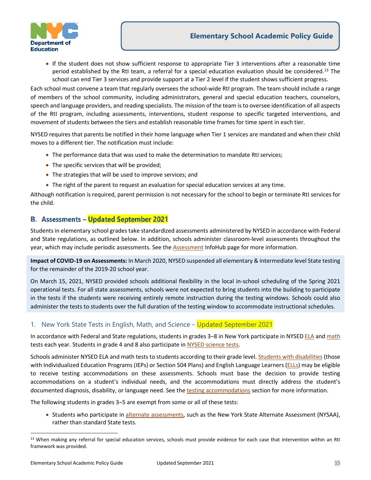

• If the student does not show sufficient response to appropriate Tier 3 interventions after a reasonable time period established by the RtI team, a referral for a special education evaluation should be considered.<sup>13</sup> The school can end Tier 3 services and provide support at a Tier 2 level if the student shows sufficient progress.

Each school must convene a team that regularly oversees the school-wide RtI program. The team should include a range of members of the school community, including administrators, general and special education teachers, counselors, speech and language providers, and reading specialists. The mission of the team is to oversee identification of all aspects of the RtI program, including assessments, interventions, student response to specific targeted interventions, and movement of students between the tiers and establish reasonable time frames for time spent in each tier.

NYSED requires that parents be notified in their home language when Tier 1 services are mandated and when their child moves to a different tier. The notification must include:

- The performance data that was used to make the determination to mandate RtI services;
- The specific services that will be provided;
- The strategies that will be used to improve services; and
- The right of the parent to request an evaluation for special education services at any time.

Although notification is required, parent permission is not necessary for the school to begin or terminate RtI services for the child.

#### <span id="page-14-0"></span>**B. Assessments - Updated September 2021**

Students in elementary school grades take standardized assessments administered by NYSED in accordance with Federal and State regulations, as outlined below. In addition, schools administer classroom-level assessments throughout the year, which may include periodic assessments. See th[e Assessment](https://infohub.nyced.org/nyc-doe-topics/performance-assessment/performance-and-assessment-resources) InfoHub page for more information.

**Impact of COVID-19 on Assessments:** In March 2020, NYSED suspended all elementary & intermediate level State testing for the remainder of the 2019-20 school year.

On March 15, 2021, NYSED provided schools additional flexibility in the local in-school scheduling of the Spring 2021 operational tests. For all state assessments, schools were not expected to bring students into the building to participate in the tests if the students were receiving entirely remote instruction during the testing windows. Schools could also administer the tests to students over the full duration of the testing window to accommodate instructional schedules.

#### <span id="page-14-1"></span>1. New York State Tests in English, Math, and Science – Updated September 2021

In accordance with Federal and State regulations, students in grades 3–8 in New York participate in NYSE[D ELA](http://www.p12.nysed.gov/assessment/english/ela-ei.html) and [math](http://www.p12.nysed.gov/assessment/math/math-ei.html) tests each year. Students in grade 4 and 8 also participate in [NYSED science tests.](http://www.p12.nysed.gov/assessment/science/science-ei.html)

Schools administer NYSED ELA and math tests to students according to their grade level[. Students with disabilities](#page-18-2) (those with Individualized Education Programs (IEPs) or Section 504 Plans) and English Language Learners (*ELLs*) may be eligible to receive testing accommodations on these assessments. Schools must base the decision to provide testing accommodations on a student's individual needs, and the accommodations must directly address the student's documented diagnosis, disability, or language need. See the [testing accommodations](#page-20-0) section for more information.

The following students in grades 3-5 are exempt from some or all of these tests:

• Students who participate in [alternate assessments,](#page-19-0) such as the New York State Alternate Assessment (NYSAA), rather than standard State tests.

<span id="page-14-2"></span><sup>&</sup>lt;sup>13</sup> When making any referral for special education services, schools must provide evidence for each case that intervention within an RtI framework was provided.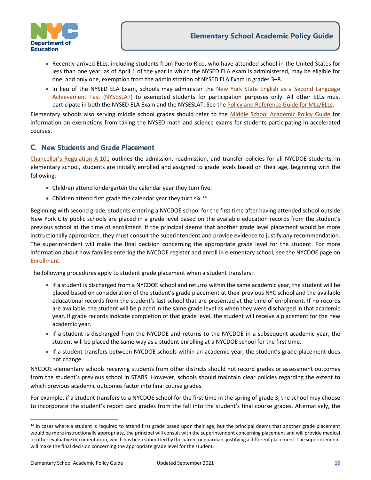

- Recently-arrived [ELLs,](#page-17-2) including students from Puerto Rico, who have attended school in the United States for less than one year, as of April 1 of the year in which the NYSED ELA exam is administered, may be eligible for one, and only one, exemption from the administration of NYSED ELA Exam in grades 3–8.
- In lieu of the NYSED ELA Exam, schools may administer the New York State English as a Second Language [Achievement Test \(NYSESLAT\)](#page-18-1) to exempted students for participation purposes only. All other ELLs must participate in both the NYSED ELA Exam and the NYSESLAT. See the [Policy and Reference Guide for MLs/ELLs.](https://infohub.nyced.org/docs/default-source/default-document-library/ell-policy-and-reference-guide.pdf)

Elementary schools also serving middle school grades should refer to the [Middle School Academic Policy Guide](https://infohub.nyced.org/docs/default-source/default-document-library/AcPolicy-MiddleSchoolAcademicPolicyGuide) for information on exemptions from taking the NYSED math and science exams for students participating in accelerated courses.

## <span id="page-15-0"></span>**C.** New Students and Grade Placement

[Chancellor's Regulation A-101](https://www.schools.nyc.gov/school-life/policies-for-all/chancellors-regulations/volume-a-regulations) outlines the admission, readmission, and transfer policies for all NYCDOE students. In elementary school, students are initially enrolled and assigned to grade levels based on their age, beginning with the following:

- Children attend kindergarten the calendar year they turn five.
- Children attend first grade the calendar year they turn six.<sup>[14](#page-15-1)</sup>

Beginning with second grade, students entering a NYCDOE school for the first time after having attended school outside New York City public schools are placed in a grade level based on the available education records from the student's previous school at the time of enrollment. If the principal deems that another grade level placement would be more instructionally appropriate, they must consult the superintendent and provide evidence to justify any recommendation. The superintendent will make the final decision concerning the appropriate grade level for the student. For more information about how families entering the NYCDOE register and enroll in elementary school, see the NYCDOE page on [Enrollment.](https://infohub.nyced.org/nyc-doe-topics/school-governance/enrollment/enrollment-policies) 

The following procedures apply to student grade placement when a student transfers:

- If a student is discharged from a NYCDOE school and returns within the same academic year, the student will be placed based on consideration of the student's grade placement at their previous NYC school and the available educational records from the student's last school that are presented at the time of enrollment. If no records are available, the student will be placed in the same grade level as when they were discharged in that academic year. If grade records indicate completion of that grade level, the student will receive a placement for the new academic year.
- If a student is discharged from the NYCDOE and returns to the NYCDOE in a subsequent academic year, the student will be placed the same way as a student enrolling at a NYCDOE school for the first time.
- If a student transfers between NYCDOE schools within an academic year, the student's grade placement does not change.

NYCDOE elementary schools receiving students from other districts should not record grades or assessment outcomes from the student's previous school in STARS. However, schools should maintain clear policies regarding the extent to which previous academic outcomes factor into final course grades.

For example, if a student transfers to a NYCDOE school for the first time in the spring of grade 3, the school may choose to incorporate the student's report card grades from the fall into the student's final course grades. Alternatively, the

<span id="page-15-1"></span><sup>&</sup>lt;sup>14</sup> In cases where a student is required to attend first grade based upon their age, but the principal deems that another grade placement would be more instructionally appropriate, the principal will consult with the superintendent concerning placement and will provide medical or other evaluative documentation, which has been submitted by the parent or guardian, justifying a different placement. The superintendent will make the final decision concerning the appropriate grade level for the student.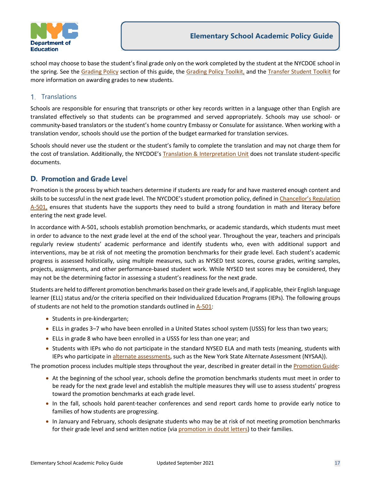

school may choose to base the student's final grade only on the work completed by the student at the NYCDOE school in the spring. See the [Grading Policy](#page-24-2) section of this guide, th[e Grading Policy Toolkit,](https://infohub.nyced.org/docs/default-source/doe-employees-only/AcPolicy-GradingPolicyToolkit) and the [Transfer Student Toolkit](https://infohub.nyced.org/docs/default-source/doe-employees-only/acpolicy-transferstudenttoolkit.pdf) for more information on awarding grades to new students.

#### <span id="page-16-0"></span>1. Translations

Schools are responsible for ensuring that transcripts or other key records written in a language other than English are translated effectively so that students can be programmed and served appropriately. Schools may use school- or community-based translators or the student's home country Embassy or Consulate for assistance. When working with a translation vendor, schools should use the portion of the budget earmarked for translation services.

Schools should never use the student or the student's family to complete the translation and may not charge them for the cost of translation. Additionally, the NYCDOE's [Translation & Interpretation Unit](https://infohub.nyced.org/resources/communications/translation-and-interpretation) does not translate student-specific documents.

#### <span id="page-16-1"></span>**D. Promotion and Grade Level**

Promotion is the process by which teachers determine if students are ready for and have mastered enough content and skills to be successful in the next grade level. The NYCDOE's student promotion policy, defined i[n Chancellor's Regulation](https://www.schools.nyc.gov/school-life/policies-for-all/chancellors-regulations/volume-a-regulations)  [A-501,](https://www.schools.nyc.gov/school-life/policies-for-all/chancellors-regulations/volume-a-regulations) ensures that students have the supports they need to build a strong foundation in math and literacy before entering the next grade level.

In accordance with A-501, schools establish promotion benchmarks, or academic standards, which students must meet in order to advance to the next grade level at the end of the school year. Throughout the year, teachers and principals regularly review students' academic performance and identify students who, even with additional support and interventions, may be at risk of not meeting the promotion benchmarks for their grade level. Each student's academic progress is assessed holistically, using multiple measures, such as NYSED test scores, course grades, writing samples, projects, assignments, and other performance-based student work. While NYSED test scores may be considered, they may not be the determining factor in assessing a student's readiness for the next grade.

Students are held to different promotion benchmarks based on their grade levels and, if applicable, their English language learner (ELL) status and/or the criteria specified on their Individualized Education Programs (IEPs). The following groups of students are not held to the promotion standards outlined in [A-501:](https://www.schools.nyc.gov/school-life/policies-for-all/chancellors-regulations/volume-a-regulations)

- Students in pre-kindergarten;
- ELLs in grades 3‒7 who have been enrolled in a United States school system (USSS) for less than two years;
- ELLs in grade 8 who have been enrolled in a USSS for less than one year; and
- Students with IEPs who do not participate in the standard NYSED ELA and math tests (meaning, students with IEPs who participate in [alternate assessments,](#page-19-0) such as the New York State Alternate Assessment (NYSAA)).

The promotion process includes multiple steps throughout the year, described in greater detail in the [Promotion Guide:](https://infohub.nyced.org/docs/default-source/doe-employees-only/AcPolicy-PromotionImplementation)

- At the beginning of the school year, schools define the promotion benchmarks students must meet in order to be ready for the next grade level and establish the multiple measures they will use to assess students' progress toward the promotion benchmarks at each grade level.
- In the fall, schools hold parent-teacher conferences and send report cards home to provide early notice to families of how students are progressing.
- In January and February, schools designate students who may be at risk of not meeting promotion benchmarks for their grade level and send written notice (vi[a promotion in doubt letters\)](https://infohub.nyced.org/nyc-doe-topics/Policies/promotion-policy-process/promotion-in-doubt) to their families.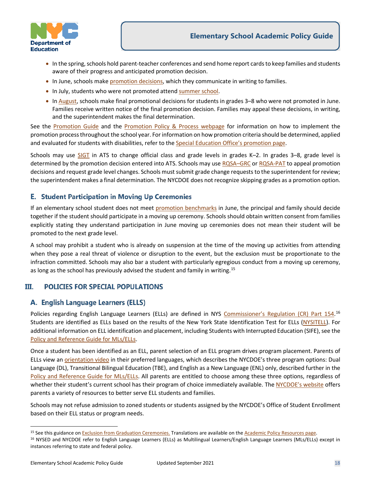

- In the spring, schools hold parent-teacher conferences and send home report cards to keep families and students aware of their progress and anticipated promotion decision.
- In June, schools mak[e promotion decisions,](https://infohub.nyced.org/nyc-doe-topics/Policies/promotion-policy-process/june-promotion-decision) which they communicate in writing to families.
- In July, students who were not promoted atten[d summer school.](https://infohub.nyced.org/docs/default-source/doe-employees-only/summer-school-2020-programming.pdf)
- In [August,](https://infohub.nyced.org/nyc-doe-topics/Policies/promotion-policy-process/august-promotion-decision) schools make final promotional decisions for students in grades 3–8 who were not promoted in June. Families receive written notice of the final promotion decision. Families may appeal these decisions, in writing, and the superintendent makes the final determination.

See the [Promotion Guide](https://infohub.nyced.org/docs/default-source/doe-employees-only/AcPolicy-PromotionImplementation) and the [Promotion Policy & Process webpage](https://infohub.nyced.org/nyc-doe-topics/Policies/promotion-policy-process/) for information on how to implement the promotion process throughout the school year. For information on how promotion criteria should be determined, applied and evaluated for students with disabilities, refer to th[e Special Education Office's promotion page.](https://infohub.nyced.org/nyc-doe-topics/specialized-areas/special-education/promotion-policy-for-students-with-disabilities-in-grades-3-to-8) 

Schools may use [SIGT](https://wiki.nycenet.edu/display/ATSWiki/Inter-Grade+Inter-Class+Transfer+-+SIGT) in ATS to change official class and grade levels in grades K–2. In grades 3–8, grade level is determined by the promotion decision entered into ATS. Schools may use [RQSA–GRC](https://wiki.nycenet.edu/display/ATSWiki/Request+Change+of+Student+Grade+Level+-+GRC) o[r RQSA-PAT](https://wiki.nycenet.edu/display/ATSWiki/Request+Promotion+Appeal+Transfer+-+PAT) to appeal promotion decisions and request grade level changes. Schools must submit grade change requests to the superintendent for review; the superintendent makes a final determination. The NYCDOE does not recognize skipping grades as a promotion option.

## <span id="page-17-0"></span>**E. Student Participation in Moving Up Ceremonies**

If an elementary school student does not meet [promotion benchmarks](#page-16-1) in June, the principal and family should decide together if the student should participate in a moving up ceremony. Schools should obtain written consent from families explicitly stating they understand participation in June moving up ceremonies does not mean their student will be promoted to the next grade level.

A school may prohibit a student who is already on suspension at the time of the moving up activities from attending when they pose a real threat of violence or disruption to the event, but the exclusion must be proportionate to the infraction committed. Schools may also bar a student with particularly egregious conduct from a moving up ceremony, as long as the school has previously advised the student and family in writing.<sup>[15](#page-17-3)</sup>

#### <span id="page-17-1"></span>III. **POLICIES FOR SPECIAL POPULATIONS**

## <span id="page-17-2"></span>A. English Language Learners (ELLS)

Policies regarding English Language Learners (ELLs) are defined in NYS [Commissioner's Regulation \(CR\)](http://www.nysed.gov/bilingual-ed/regulations-concerning-english-language-learnersmultilingual-learners) Part 154.<sup>[16](#page-17-4)</sup> Students are identified as ELLs based on the results of the New York State Identification Test for ELLs [\(NYSITELL\)](#page-18-0). For additional information on ELL identification and placement, including Students with Interrupted Education (SIFE), see the [Policy and Reference Guide for MLs/ELLs.](https://infohub.nyced.org/docs/default-source/default-document-library/ell-policy-and-reference-guide.pdf)

Once a student has been identified as an ELL, parent selection of an ELL program drives program placement. Parents of ELLs view a[n orientation video](https://www.schools.nyc.gov/multilingual-learners/process/english-language-learners) in their preferred languages, which describes the NYCDOE's three program options: Dual Language (DL), Transitional Bilingual Education (TBE), and English as a New Language (ENL) only, described further in the [Policy and Reference Guide for MLs/ELLs.](https://infohub.nyced.org/docs/default-source/default-document-library/ell-policy-and-reference-guide.pdf) All parents are entitled to choose among these three options, regardless of whether their student's current school has their program of choice immediately available. Th[e NYCDOE's website](https://www.schools.nyc.gov/multilingual-learners/process/english-language-learners) offers parents a variety of resources to better serve ELL students and families.

Schools may not refuse admission to zoned students or students assigned by the NYCDOE's Office of Student Enrollment based on their ELL status or program needs.

<span id="page-17-4"></span><span id="page-17-3"></span><sup>&</sup>lt;sup>15</sup> See this guidance on Exclusion from Graduation Ceremonies. Translations are available on the Academic Policy Resources [page.](https://infohub.nyced.org/nyc-doe-topics/Policies/academic-policy-resources/)<br><sup>16</sup> NYSED and NYCDOE refer to English Language Learners (ELLs) as Multilingual Learners/Eng instances referring to state and federal policy.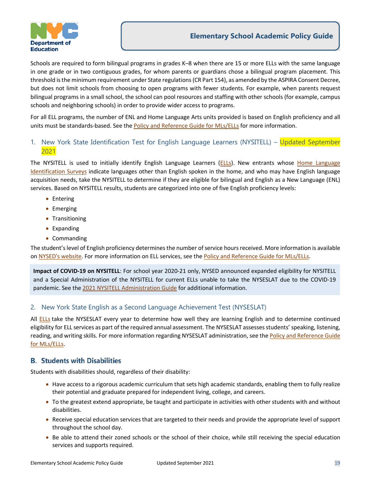

Schools are required to form bilingual programs in grades K–8 when there are 15 or more ELLs with the same language in one grade or in two contiguous grades, for whom parents or guardians chose a bilingual program placement. This threshold is the minimum requirement under State regulations (CR Part 154), as amended by the ASPIRA Consent Decree, but does not limit schools from choosing to open programs with fewer students. For example, when parents request bilingual programs in a small school, the school can pool resources and staffing with other schools (for example, campus schools and neighboring schools) in order to provide wider access to programs.

For all ELL programs, the number of ENL and Home Language Arts units provided is based on English proficiency and all units must be standards-based. See the [Policy and Reference Guide for MLs/ELLs](https://infohub.nyced.org/docs/default-source/default-document-library/ell-policy-and-reference-guide.pdf) for more information.

#### <span id="page-18-0"></span>1. New York State Identification Test for English Language Learners (NYSITELL) – Updated September 2021

The NYSITELL is used to initially identify English Language Learners [\(ELLs\)](#page-17-2). New entrants whose Home Language [Identification Surveys](https://www.schools.nyc.gov/school-life/learning/testing/tests-for-english-language-learners) indicate languages other than English spoken in the home, and who may have English language acquisition needs, take the NYSITELL to determine if they are eligible for bilingual and English as a New Language (ENL) services. Based on NYSITELL results, students are categorized into one of five English proficiency levels:

- Entering
- Emerging
- Transitioning
- Expanding
- Commanding

The student's level of English proficiency determines the number of service hours received. More information is available on [NYSED's website.](http://www.p12.nysed.gov/assessment/nysitell/home.html) For more information on ELL services, see the [Policy and Reference Guide for MLs/ELLs.](https://infohub.nyced.org/docs/default-source/default-document-library/ell-policy-and-reference-guide.pdf)

**Impact of COVID-19 on NYSITELL**: For school year 2020-21 only, NYSED announced expanded eligibility for NYSITELL and a Special Administration of the NYSITELL for current ELLs unable to take the NYSESLAT due to the COVID-19 pandemic. See th[e 2021 NYSITELL Administration Guide](https://infohub.nyced.org/docs/default-source/doe-employees-only/summer-administration-of-nysitell.pdf) for additional information.

#### <span id="page-18-1"></span>2. New York State English as a Second Language Achievement Test (NYSESLAT)

All [ELLs](#page-17-2) take the NYSESLAT every year to determine how well they are learning English and to determine continued eligibility for ELL services as part of the required annual assessment. The NYSESLAT assesses students' speaking, listening, reading, and writing skills. For more information regarding NYSESLAT administration, see th[e Policy and Reference Guide](https://infohub.nyced.org/docs/default-source/default-document-library/ell-policy-and-reference-guide.pdf)  [for MLs/ELLs.](https://infohub.nyced.org/docs/default-source/default-document-library/ell-policy-and-reference-guide.pdf)

#### <span id="page-18-2"></span>**B. Students with Disabilities**

Students with disabilities should, regardless of their disability:

- Have access to a rigorous academic curriculum that sets high academic standards, enabling them to fully realize their potential and graduate prepared for independent living, college, and careers.
- To the greatest extend appropriate, be taught and participate in activities with other students with and without disabilities.
- Receive special education services that are targeted to their needs and provide the appropriate level of support throughout the school day.
- Be able to attend their zoned schools or the school of their choice, while still receiving the special education services and supports required.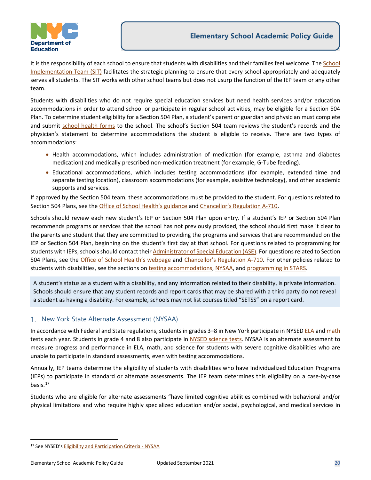

It is the responsibility of each school to ensure that students with disabilities and their families feel welcome. The School [Implementation Team \(SIT\)](https://infohub.nyced.org/nyc-doe-topics/specialized-areas/special-education/roles-and-teams/school-implementation-team-(sit)) facilitates the strategic planning to ensure that every school appropriately and adequately serves all students. The SIT works with other school teams but does not usurp the function of the [IEP team](https://www.schools.nyc.gov/special-education/the-iep-process/iep-meeting) or any other team.

Students with disabilities who do not require special education services but need health services and/or education accommodations in order to attend school or participate in regular school activities, may be eligible for a Section 504 Plan. To determine student eligibility for a Section 504 Plan, a student's parent or guardian and physician must complete and submit [school health forms](https://infohub.nyced.org/in-our-schools/translations/forms/health-forms-and-notices) to the school. The school's Section 504 team reviews the student's records and the physician's statement to determine accommodations the student is eligible to receive. There are two types of accommodations:

- Health accommodations, which includes administration of medication (for example, asthma and diabetes medication) and medically prescribed non-medication treatment (for example, G-Tube feeding).
- Educational accommodations, which includes testing accommodations (for example, extended time and separate testing location), classroom accommodations (for example, assistive technology), and other academic supports and services.

If approved by the Section 504 team, these accommodations must be provided to the student. For questions related to Section 504 Plans, see th[e Office of School Health's guidance](https://infohub.nyced.org/resources/translated-documents/health-forms-and-notices) and [Chancellor's Regulation A-710.](https://www.schools.nyc.gov/school-life/policies-for-all/chancellors-regulations/volume-a-regulations)

Schools should review each new student's IEP or Section 504 Plan upon entry. If a student's IEP or Section 504 Plan recommends programs or services that the school has not previously provided, the school should first make it clear to the parents and student that they are committed to providing the programs and services that are recommended on the IEP or Section 504 Plan, beginning on the student's first day at that school. For questions related to programming for students with IEPs, schools should contact their [Administrator of Special Education \(ASE\).](https://docs.google.com/spreadsheets/d/15MA81BnGVutTavdK3HRM623gyoJyCb5e7wHfq9oAaCY/pubhtml) For questions related to Section 504 Plans, see the [Office of School Health's webpage](https://infohub.nyced.org/resources/translated-documents/health-forms-and-notices) and [Chancellor's Regulation A-710.](https://www.schools.nyc.gov/school-life/policies-for-all/chancellors-regulations/volume-a-regulations) For other policies related to students with disabilities, see the sections o[n testing accommodations,](#page-20-0) [NYSAA,](#page-19-0) an[d programming in STARS.](#page-22-2)

A student's status as a student with a disability, and any information related to their disability, is private information. Schools should ensure that any student records and report cards that may be shared with a third party do not reveal a student as having a disability. For example, schools may not list courses titled "SETSS" on a report card.

#### <span id="page-19-0"></span>1. New York State Alternate Assessment (NYSAA)

In accordance with Federal and State regulations, students in grades 3–8 in New York participate in NYSED [ELA](http://www.p12.nysed.gov/assessment/english/ela-ei.html) an[d math](http://www.p12.nysed.gov/assessment/math/math-ei.html) tests each year. Students in grade 4 and 8 also participate in [NYSED science tests](http://www.p12.nysed.gov/assessment/science/science-ei.html). NYSAA is an alternate assessment to measure progress and performance in ELA, math, and science for students with severe cognitive disabilities who are unable to participate in standard assessments, even with testing accommodations.

Annually, IEP teams determine the eligibility of students with disabilities who have Individualized Education Programs (IEPs) to participate in standard or alternate assessments. The IEP team determines this eligibility on a case-by-case basis.[17](#page-19-1) 

Students who are eligible for alternate assessments "have limited cognitive abilities combined with behavioral and/or physical limitations and who require highly specialized education and/or social, psychological, and medical services in

<span id="page-19-1"></span><sup>17</sup> See NYSED'[s Eligibility and Participation Criteria - NYSAA](http://www.p12.nysed.gov/assessment/nysaa/2017-18/nysaa-eligibility.pdf)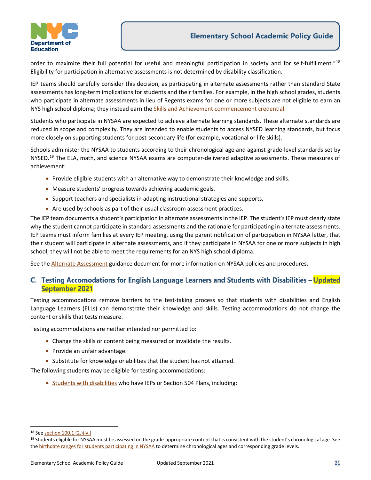

order to maximize their full potential for useful and meaningful participation in society and for self-fulfillment."[18](#page-20-1) Eligibility for participation in alternative assessments is not determined by disability classification.

IEP teams should carefully consider this decision, as participating in alternate assessments rather than standard State assessments has long-term implications for students and their families. For example, in the high school grades, students who participate in alternate assessments in lieu of Regents exams for one or more subjects are not eligible to earn an NYS high school diploma; they instead earn th[e Skills and Achievement commencement credential.](https://infohub.nyced.org/docs/default-source/doe-employees-only/AcPolicy-SkillsandAchievement)

Students who participate in NYSAA are expected to achieve alternate learning standards. These alternate standards are reduced in scope and complexity. They are intended to enable students to access NYSED learning standards, but focus more closely on supporting students for post-secondary life (for example, vocational or life skills).

Schools administer the NYSAA to students according to their chronological age and against grade-level standards set by NYSED.<sup>[19](#page-20-2)</sup> The ELA, math, and science NYSAA exams are computer-delivered adaptive assessments. These measures of achievement:

- Provide eligible students with an alternative way to demonstrate their knowledge and skills.
- Measure students' progress towards achieving academic goals.
- Support teachers and specialists in adapting instructional strategies and supports.
- Are used by schools as part of their usual classroom assessment practices.

The IEP team documents a student's participation in alternate assessments in the IEP. The student's IEP must clearly state why the student cannot participate in standard assessments and the rationale for participating in alternate assessments. IEP teams must inform families at every IEP meeting, using the parent notification of participation in NYSAA letter, that their student will participate in alternate assessments, and if they participate in NYSAA for one or more subjects in high school, they will not be able to meet the requirements for an NYS high school diploma.

See th[e Alternate Assessment](https://infohub.nyced.org/docs/default-source/doe-employees-only/AcPolicy-AltAssessmentNYSAA) guidance document for more information on NYSAA policies and procedures.

#### <span id="page-20-0"></span>C. Testing Accomodations for English Language Learners and Students with Disabilities - Updated **September 2021**

Testing accommodations remove barriers to the test-taking process so that students with disabilities and English Language Learners (ELLs) can demonstrate their knowledge and skills. Testing accommodations do not change the content or skills that tests measure.

Testing accommodations are neither intended nor permitted to:

- Change the skills or content being measured or invalidate the results.
- Provide an unfair advantage.
- Substitute for knowledge or abilities that the student has not attained.

The following students may be eligible for testing accommodations:

• [Students with disabilities](#page-18-2) who have IEPs or Section 504 Plans, including:

<span id="page-20-1"></span><sup>18</sup> Se[e section 100.1 \(2.\)\(iv.\)](http://www.p12.nysed.gov/part100/pages/1001.html)

<span id="page-20-2"></span><sup>&</sup>lt;sup>19</sup> Students eligible for NYSAA must be assessed on the grade-appropriate content that is consistent with the student's chronological age. See th[e birthdate ranges for students participating in NYSAA](http://www.nysed.gov/common/nysed/files/programs/state-assessment/nysaa-age-grade-2022.pdf) to determine chronological ages and corresponding grade levels.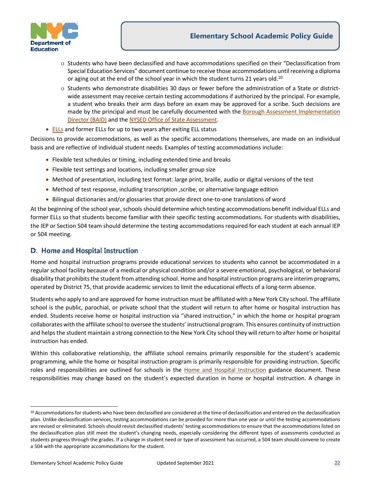



- o Students who have been declassified and have accommodations specified on their "Declassification from Special Education Services" document continue to receive those accommodations until receiving a diploma or aging out at the end of the school year in which the student turns 21 years old.<sup>20</sup>
- o Students who demonstrate disabilities 30 days or fewer before the administration of a State or districtwide assessment may receive certain testing accommodations if authorized by the principal. For example, a student who breaks their arm days before an exam may be approved for a scribe. Such decisions are made by the principal and must be carefully documented with the [Borough Assessment Implementation](https://infohub.nyced.org/docs/default-source/doe-employees-only/borough-assessment-implementation-directors.pdf)  [Director \(BAID\)](https://infohub.nyced.org/docs/default-source/doe-employees-only/borough-assessment-implementation-directors.pdf) and th[e NYSED Office of State Assessment.](http://www.p12.nysed.gov/assessment/)
- [ELLs](#page-17-2) and former ELLs for up to two years after exiting ELL status

Decisions to provide accommodations, as well as the specific accommodations themselves, are made on an individual basis and are reflective of individual student needs. Examples of testing accommodations include:

- Flexible test schedules or timing, including extended time and breaks
- Flexible test settings and locations, including smaller group size
- Method of presentation, including test format: large print, braille, audio or digital versions of the test
- Method of test response, including transcription ,scribe, or alternative language edition
- Bilingual dictionaries and/or glossaries that provide direct one-to-one translations of word

At the beginning of the school year, schools should determine which testing accommodations benefit individual ELLs and former ELLs so that students become familiar with their specific testing accommodations. For students with disabilities, the IEP or Section 504 team should determine the testing accommodations required for each student at each annual IEP or 504 meeting.

#### <span id="page-21-0"></span>**D.** Home and Hospital Instruction

Home and hospital instruction programs provide educational services to students who cannot be accommodated in a regular school facility because of a medical or physical condition and/or a severe emotional, psychological, or behavioral disability that prohibits the student from attending school. Home and hospital instruction programs are interim programs, operated by District 75, that provide academic services to limit the educational effects of a long-term absence.

Students who apply to and are approved for home instruction must be affiliated with a New York City school. The affiliate school is the public, parochial, or private school that the student will return to after home or hospital instruction has ended. Students receive home or hospital instruction via "shared instruction," in which the home or hospital program collaborates with the affiliate school to oversee the students' instructional program. This ensures continuity of instruction and helps the student maintain a strong connection to the New York City school they will return to after home or hospital instruction has ended.

Within this collaborative relationship, the affiliate school remains primarily responsible for the student's academic programming, while the home or hospital instruction program is primarily responsible for providing instruction. Specific roles and responsibilities are outlined for schools in the [Home and Hospital Instruction](https://infohub.nyced.org/docs/default-source/doe-employees-only/AcPolicy-HomeandHospitalInstruction) guidance document. These responsibilities may change based on the student's expected duration in home or hospital instruction. A change in

<span id="page-21-1"></span><sup>&</sup>lt;sup>20</sup> Accommodations for students who have been declassified are considered at the time of declassification and entered on the declassification plan. Unlike declassification services, testing accommodations can be provided for more than one year or until the testing accommodations are revised or eliminated. Schools should revisit declassified students' testing accommodations to ensure that the accommodations listed on the declassification plan still meet the student's changing needs, especially considering the different types of assessments conducted as students progress through the grades. If a change in student need or type of assessment has occurred, a 504 team should convene to create a 504 with the appropriate accommodations for the student.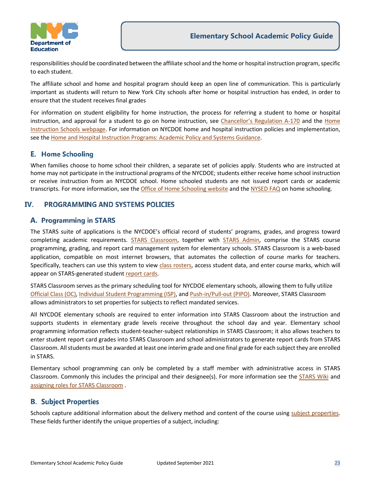

responsibilities should be coordinated between the affiliate school and the home or hospital instruction program, specific to each student.

The affiliate school and home and hospital program should keep an open line of communication. This is particularly important as students will return to New York City schools after home or hospital instruction has ended, in order to ensure that the student receives final grades

For information on student eligibility for home instruction, the process for referring a student to home or hospital instruction, and approval for a student to go on home instruction, see [Chancellor's Regulation A-170](https://www.schools.nyc.gov/docs/default-source/default-document-library/a-170-english) and the Home [Instruction Schools webpage.](http://www.homeinstructionschools.com/#!schools/c11zt) For information on NYCDOE home and hospital instruction policies and implementation, see the [Home and Hospital Instruction Programs: Academic Policy and Systems Guidance.](https://infohub.nyced.org/docs/default-source/doe-employees-only/AcPolicy-HomeandHospitalInstruction)

#### <span id="page-22-0"></span>**E.** Home Schooling

When families choose to home school their children, a separate set of policies apply. Students who are instructed at home may not participate in the instructional programs of the NYCDOE; students either receive home school instruction or receive instruction from an NYCDOE school. Home schooled students are not issued report cards or academic transcripts. For more information, see th[e Office of Home Schooling website](https://www.schools.nyc.gov/enrollment/enrollment-help/home-schooling) and the [NYSED FAQ](http://www.p12.nysed.gov/sss/homeinstruction/homeschoolingqanda.html) on home schooling.

#### <span id="page-22-1"></span>IV. **PROGRAMMING AND SYSTEMS POLICIES**

#### <span id="page-22-2"></span>A. Programming in STARS

The [STARS](http://wiki.nycboe.net/display/HSST/STARS+Wiki+Home+Page) suite of applications is the NYCDOE's official record of students' programs, grades, and progress toward completing academic requirements. [STARS Classroom,](http://www.nycenet.edu/starsclassroom) together with [STARS Admin,](https://workspace-ats.nycboe.net/stars/home.aspx) comprise the STARS course programming, grading, and report card management system for elementary schools. STARS Classroom is a web-based application, compatible on most internet browsers, that automates the collection of course marks for teachers. Specifically, teachers can use this system to view [class rosters,](https://wiki.nycenet.edu/display/HSST/STARS+Classroom%3A+Class+Roster) access student data, and enter course marks, which will appear on STARS-generated studen[t report cards.](https://wiki.nycenet.edu/display/HSST/STARS+Classroom%3A+Report+Cards)

STARS Classroom serves as the primary scheduling tool for NYCDOE elementary schools, allowing them to fully utilize [Official Class \(OC\),](https://wiki.nycenet.edu/display/HSST/STARS+Classroom%3A+School+Programming) [Individual Student Programming \(ISP\),](https://wiki.nycenet.edu/display/HSST/STARS+Classroom%3A+Individual+Student+Programming) an[d Push-in/Pull-out \(PIPO\).](https://wiki.nycenet.edu/pages/viewpage.action?pageId=179210494) Moreover, STARS Classroom allows administrators to set properties for subjects to reflect mandated services.

All NYCDOE elementary schools are required to enter information into STARS Classroom about the instruction and supports students in elementary grade levels receive throughout the school day and year. Elementary school programming information reflects student-teacher-subject relationships in STARS Classroom; it also allows teachers to enter student report card grades into STARS Classroom and school administrators to generate report cards from STARS Classroom. All students must be awarded at least one interim grade and one final grade for each subject they are enrolled in STARS.

Elementary school programming can only be completed by a staff member with administrative access in STARS Classroom. Commonly this includes the principal and their designee(s). For more information see the [STARS Wiki](https://wiki.nycenet.edu/display/HSST/STARS+Classroom) and [assigning roles for STARS Classroom](https://wiki.nycenet.edu/display/HSST/Assigning+Roles+in+My+Galaxy) .

#### <span id="page-22-3"></span>**B. Subject Properties**

Schools capture additional information about the delivery method and content of the course using [subject properties.](https://wiki.nycenet.edu/display/HSST/STARS+Classroom+Subject+Properties) These fields further identify the unique properties of a subject, including: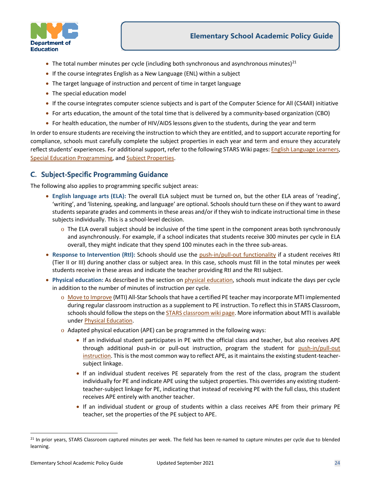

- The total number minutes per cycle (including both synchronous and asynchronous minutes) $^{21}$  $^{21}$  $^{21}$
- If the course integrates English as a New Language (ENL) within a subject
- The target language of instruction and percent of time in target language
- The special education model
- If the course integrates computer science subjects and is part of the Computer Science for All (CS4All) initiative
- For arts education, the amount of the total time that is delivered by a community-based organization (CBO)
- For health education, the number of HIV/AIDS lessons given to the students, during the year and term

In order to ensure students are receiving the instruction to which they are entitled, and to support accurate reporting for compliance, schools must carefully complete the subject properties in each year and term and ensure they accurately reflect students' experiences. For additional support, refer to the following STARS Wiki pages[: English Language Learners,](https://wiki.nycenet.edu/display/HSST/English+Language+Learners) [Special Education Programming,](https://wiki.nycenet.edu/display/HSST/Special+Education) and Subject [Properties.](https://wiki.nycenet.edu/display/HSST/STARS+Classroom+Subject+Properties)

#### <span id="page-23-0"></span>**C. Subject-Specific Programming Guidance**

The following also applies to programming specific subject areas:

- **English language arts (ELA):** The overall ELA subject must be turned on, but the other ELA areas of 'reading', 'writing', and 'listening, speaking, and language' are optional. Schools should turn these on if they want to award students separate grades and comments in these areas and/or if they wish to indicate instructional time in these subjects individually. This is a school-level decision.
	- o The ELA overall subject should be inclusive of the time spent in the component areas both synchronously and asynchronously. For example, if a school indicates that students receive 300 minutes per cycle in ELA overall, they might indicate that they spend 100 minutes each in the three sub-areas.
- **Response to Intervention (RtI):** Schools should use the [push-in/pull-out functionality](https://wiki.nycenet.edu/pages/viewpage.action?pageId=179210494) if a student receives RtI (Tier II or III) during another class or subject area. In this case, schools must fill in the total minutes per week students receive in these areas and indicate the teacher providing RtI and the RtI subject.
- **Physical education:** As described in the section o[n physical education,](#page-7-1) schools must indicate the days per cycle in addition to the number of minutes of instruction per cycle.
	- o [Move to Improve](https://www.schools.nyc.gov/learning/subjects/physical-education) (MTI) All-Star Schoolsthat have a certified PE teacher may incorporate MTI implemented during regular classroom instruction as a supplement to PE instruction. To reflect this in STARS Classroom, schools should follow the steps on the **STARS** classroom wiki page. More information about MTI is available under [Physical Education.](#page-8-1)
	- o Adapted physical education (APE) can be programmed in the following ways:
		- If an individual student participates in PE with the official class and teacher, but also receives APE through additional push-in or pull-out instruction, program the student for [push-in/pull-out](#page-24-0)  [instruction.](#page-24-0) This is the most common way to reflect APE, as it maintains the existing student-teachersubject linkage.
		- If an individual student receives PE separately from the rest of the class, program the student [individually](https://wiki.nycenet.edu/display/HSST/STARS+Classroom+Elementary+School+Programming+-+Individual+Student+Programming) for PE and indicate APE using the subject properties. This overrides any existing studentteacher-subject linkage for PE, indicating that instead of receiving PE with the full class, this student receives APE entirely with another teacher.
		- If an individual student or group of students within a class receives APE from their primary PE teacher, set the properties of the PE subject to APE.

<span id="page-23-1"></span><sup>&</sup>lt;sup>21</sup> In prior years, STARS Classroom captured minutes per week. The field has been re-named to capture minutes per cycle due to blended learning.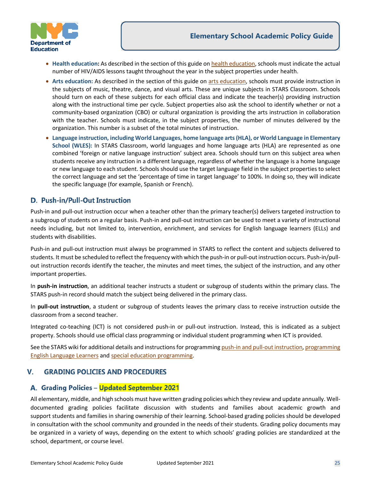



- **Health education:** As described in the section of this guide on [health education,](#page-9-0) schools must indicate the actual number of HIV/AIDS lessons taught throughout the year in the subject properties under health.
- **Arts education:** As described in the section of this guide on [arts education,](#page-10-0) schools must provide instruction in the subjects of music, theatre, dance, and visual arts. These are unique subjects in STARS Classroom. Schools should turn on each of these subjects for each official class and indicate the teacher(s) providing instruction along with the instructional time per cycle. Subject properties also ask the school to identify whether or not a community-based organization (CBO) or cultural organization is providing the arts instruction in collaboration with the teacher. Schools must indicate, in the subject properties, the number of minutes delivered by the organization. This number is a subset of the total minutes of instruction.
- **Language instruction, including World Languages, home language arts (HLA), or World Language in Elementary School (WLES):** In STARS Classroom, world languages and home language arts (HLA) are represented as one combined 'foreign or native language instruction' subject area. Schools should turn on this subject area when students receive any instruction in a different language, regardless of whether the language is a home language or new language to each student. Schools should use the target language field in the subject properties to select the correct language and set the 'percentage of time in target language' to 100%. In doing so, they will indicate the specific language (for example, Spanish or French).

## <span id="page-24-0"></span>**D. Push-in/Pull-Out Instruction**

Push-in and pull-out instruction occur when a teacher other than the primary teacher(s) delivers targeted instruction to a subgroup of students on a regular basis. Push-in and pull-out instruction can be used to meet a variety of instructional needs including, but not limited to, intervention, enrichment, and services for English language learners (ELLs) and students with disabilities.

Push-in and pull-out instruction must always be programmed in STARS to reflect the content and subjects delivered to students. It must be scheduled to reflect the frequency with which the push-in or pull-out instruction occurs. Push-in/pullout instruction records identify the teacher, the minutes and meet times, the subject of the instruction, and any other important properties.

In **push-in instruction**, an additional teacher instructs a student or subgroup of students within the primary class. The STARS push-in record should match the subject being delivered in the primary class.

In **pull-out instruction**, a student or subgroup of students leaves the primary class to receive instruction outside the classroom from a second teacher.

Integrated co-teaching (ICT) is not considered push-in or pull-out instruction. Instead, this is indicated as a subject property. Schools should use official class programming or individual student programming when ICT is provided.

See the STARS wiki for additional details and instructions for programmin[g push-in and pull-out instruction,](https://wiki.nycenet.edu/pages/viewpage.action?pageId=179210494) programming [English Language Learners](https://wiki.nycenet.edu/display/HSST/English+Language+Learners) an[d special education programming.](https://wiki.nycenet.edu/display/HSST/Special+Education)

#### <span id="page-24-1"></span>**GRADING POLICIES AND PROCEDURES** v.

#### <span id="page-24-2"></span>A. Grading Policies - Updated September 2021

All elementary, middle, and high schools must have written grading policies which they review and update annually. Welldocumented grading policies facilitate discussion with students and families about academic growth and support students and families in sharing ownership of their learning. School-based grading policies should be developed in consultation with the school community and grounded in the needs of their students. Grading policy documents may be organized in a variety of ways, depending on the extent to which schools' grading policies are standardized at the school, department, or course level.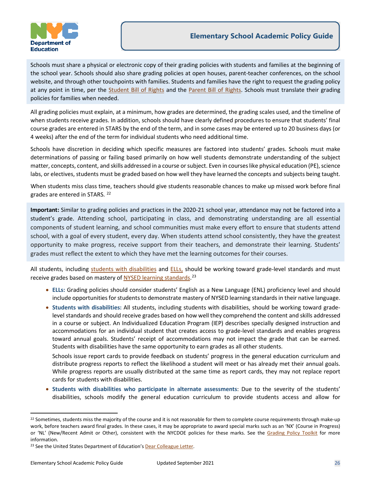

Schools must share a physical or electronic copy of their grading policies with students and families at the beginning of the school year. Schools should also share grading policies at open houses, parent-teacher conferences, on the school website, and through other touchpoints with families. Students and families have the right to request the grading policy at any point in time, per the [Student Bill of Rights](https://www.schools.nyc.gov/get-involved/students/student-bill-of-rights) and the [Parent Bill of Rights.](https://www.schools.nyc.gov/school-life/policies-for-all/parents-bill-of-rights) Schools must translate their grading policies for families when needed.

All grading policies must explain, at a minimum, how grades are determined, the grading scales used, and the timeline of when students receive grades. In addition, schools should have clearly defined procedures to ensure that students' final course grades are entered in STARS by the end of the term, and in some cases may be entered up to 20 business days (or 4 weeks) after the end of the term for individual students who need additional time.

Schools have discretion in deciding which specific measures are factored into students' grades. Schools must make determinations of passing or failing based primarily on how well students demonstrate understanding of the subject matter, concepts, content, and skills addressed in a course or subject. Even in courses like physical education (PE), science labs, or electives, students must be graded based on how well they have learned the concepts and subjects being taught.

When students miss class time, teachers should give students reasonable chances to make up missed work before final grades are entered in STARS. [22](#page-25-0)

**Important:** Similar to grading policies and practices in the 2020-21 school year, attendance may not be factored into a student's grade. Attending school, participating in class, and demonstrating understanding are all essential components of student learning, and school communities must make every effort to ensure that students attend school, with a goal of every student, every day. When students attend school consistently, they have the greatest opportunity to make progress, receive support from their teachers, and demonstrate their learning. Students' grades must reflect the extent to which they have met the learning outcomes for their courses.

All students, including [students with disabilities](#page-18-2) and [ELLs,](#page-17-2) should be working toward grade-level standards and must receive grades based on mastery of [NYSED learning standards.](http://www.nysed.gov/curriculum-instruction)<sup>[23](#page-25-1)</sup>

- **ELLs:** Grading policies should consider students' English as a New Language (ENL) proficiency level and should include opportunities for students to demonstrate mastery of NYSED learning standards in their native language.
- **Students with disabilities:** All students, including students with disabilities, should be working toward gradelevel standards and should receive grades based on how well they comprehend the content and skills addressed in a course or subject. An Individualized Education Program (IEP) describes specially designed instruction and accommodations for an individual student that creates access to grade-level standards and enables progress toward annual goals. Students' receipt of accommodations may not impact the grade that can be earned. Students with disabilities have the same opportunity to earn grades as all other students.

Schools issue report cards to provide feedback on students' progress in the general education curriculum and distribute progress reports to reflect the likelihood a student will meet or has already met their annual goals. While progress reports are usually distributed at the same time as report cards, they may not replace report cards for students with disabilities.

• **Students with disabilities who participate in alternate assessments**: Due to the severity of the students' disabilities, schools modify the general education curriculum to provide students access and allow for

<span id="page-25-0"></span><sup>&</sup>lt;sup>22</sup> Sometimes, students miss the majority of the course and it is not reasonable for them to complete course requirements through make-up work, before teachers award final grades. In these cases, it may be appropriate to award special marks such as an 'NX' (Course in Progress) or 'NL' (New/Recent Admit or Other), consistent with the NYCDOE policies for these marks. See the [Grading Policy Toolkit](https://infohub.nyced.org/docs/default-source/doe-employees-only/acpolicy-gradingpolicytoolkit.pdf) for more information.

<span id="page-25-1"></span><sup>&</sup>lt;sup>23</sup> See the United States Department of Education'[s Dear Colleague Letter.](http://www2.ed.gov/policy/speced/guid/idea/memosdcltrs/guidance-on-fape-11-17-2015.pdf)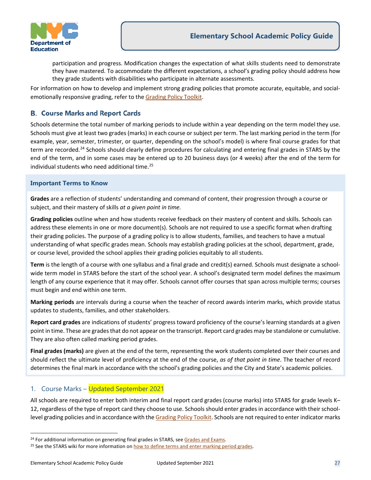

participation and progress. Modification changes the expectation of what skills students need to demonstrate they have mastered. To accommodate the different expectations, a school's grading policy should address how they grade students with disabilities who participate in alternate assessments.

For information on how to develop and implement strong grading policies that promote accurate, equitable, and socialemotionally responsive grading, refer to th[e Grading Policy Toolkit.](https://infohub.nyced.org/docs/default-source/doe-employees-only/acpolicy-gradingpolicytoolkit.pdf)

#### <span id="page-26-0"></span>**B. Course Marks and Report Cards**

Schools determine the total number of marking periods to include within a year depending on the term model they use. Schools must give at least two grades (marks) in each course or subject per term. The last marking period in the term (for example, year, semester, trimester, or quarter, depending on the school's model) is where final course grades for that term are recorded.<sup>[24](#page-26-2)</sup> Schools should clearly define procedures for calculating and entering final grades in STARS by the end of the term, and in some cases may be entered up to 20 business days (or 4 weeks) after the end of the term for individual students who need additional time. [25](#page-26-3)

#### **Important Terms to Know**

**Grades** are a reflection of students' understanding and command of content, their progression through a course or subject, and their mastery of skills *at a given point in time.*

**Grading policies** outline when and how students receive feedback on their mastery of content and skills. Schools can address these elements in one or more document(s). Schools are not required to use a specific format when drafting their grading policies. The purpose of a grading policy is to allow students, families, and teachers to have a mutual understanding of what specific grades mean. Schools may establish grading policies at the school, department, grade, or course level, provided the school applies their grading policies equitably to all students.

**Term** is the length of a course with one syllabus and a final grade and credit(s) earned. Schools must designate a schoolwide term model in STARS before the start of the school year. A school's designated term model defines the maximum length of any course experience that it may offer. Schools cannot offer courses that span across multiple terms; courses must begin and end within one term.

**Marking periods** are intervals during a course when the teacher of record awards interim marks, which provide status updates to students, families, and other stakeholders.

**Report card grades** are indications of students' progress toward proficiency of the course's learning standards at a given point in time. These are grades that do not appear on the transcript. Report card grades may be standalone or cumulative. They are also often called marking period grades.

**Final grades (marks)** are given at the end of the term, representing the work students completed over their courses and should reflect the ultimate level of proficiency at the end of the course, *as of that point in time*. The teacher of record determines the final mark in accordance with the school's grading policies and the City and State's academic policies.

# <span id="page-26-1"></span>1. Course Marks – Updated September 2021

All schools are required to enter both interim and final report card grades (course marks) into STARS for grade levels K– 12, regardless of the type of report card they choose to use. Schools should enter grades in accordance with their schoollevel grading policies and in accordance with the [Grading](https://infohub.nyced.org/docs/default-source/doe-employees-only/grading-policy-guidance-for-remote-and-blended-learning-models.pdf) Policy Toolkit. Schools are not required to enter indicator marks

<span id="page-26-3"></span><span id="page-26-2"></span><sup>&</sup>lt;sup>24</sup> For additional information on generating final grades in STARS, see Grades and Exams.<br><sup>25</sup> See the STARS wiki for more information o[n how to define terms](https://wiki.nycenet.edu/display/HSST/Manage+Term+and+Marking+Periods) and [enter marking period grades.](https://wiki.nycenet.edu/display/HSST/Marking+Period+Grades)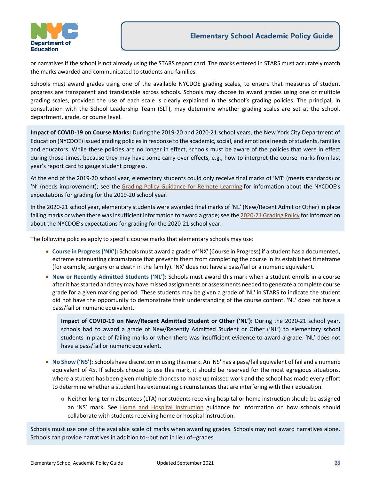

or narratives if the school is not already using the STARS report card. The marks entered in STARS must accurately match the marks awarded and communicated to students and families.

Schools must award grades using one of the available NYCDOE grading scales, to ensure that measures of student progress are transparent and translatable across schools. Schools may choose to award grades using one or multiple grading scales, provided the use of each scale is clearly explained in the school's grading policies. The principal, in consultation with the School Leadership Team (SLT), may determine whether grading scales are set at the school, department, grade, or course level.

**Impact of COVID-19 on Course Marks:** During the 2019-20 and 2020-21 school years, the New York City Department of Education (NYCDOE) issued grading policies in response to the academic, social, and emotional needs of students, families and educators. While these policies are no longer in effect, schools must be aware of the policies that were in effect during those times, because they may have some carry-over effects, e.g., how to interpret the course marks from last year's report card to gauge student progress.

At the end of the 2019-20 school year, elementary students could only receive final marks of 'MT' (meets standards) or 'N' (needs improvement); see the [Grading Policy Guidance for Remote Learning](https://nam01.safelinks.protection.outlook.com/?url=https://infohub.nyced.org/docs/default-source/doe-employees-only/grading-policy-guidance-for-remote-learning---covid-19.pdf&data=02%7c01%7cDHan2%40schools.nyc.gov%7cac784bcca1384dd54db708d7ebbc3d69%7c18492cb7ef45456185710c42e5f7ac07%7c0%7c0%7c637237066022680136&sdata=xKU6ieUkXGGCDXl7amuNtSbt0%2BTsA1QfW0ks9szgJ7c%3D&reserved=0) for information about the NYCDOE's expectations for grading for the 2019-20 school year.

In the 2020-21 school year, elementary students were awarded final marks of 'NL' (New/Recent Admit or Other) in place failing marks or when there was insufficient information to award a grade; see th[e 2020-21 Grading Policy](https://infohub.nyced.org/docs/default-source/doe-employees-only/grading-policy-guidance-for-remote-and-blended-learning-models.pdf) for information about the NYCDOE's expectations for grading for the 2020-21 school year.

The following policies apply to specific course marks that elementary schools may use:

- **Course in Progress ('NX'):** Schools must award a grade of 'NX' (Course in Progress) if a student has a documented, extreme extenuating circumstance that prevents them from completing the course in its established timeframe (for example, surgery or a death in the family). 'NX' does not have a pass/fail or a numeric equivalent.
- **New or Recently Admitted Students ('NL'):** Schools must award this mark when a student enrolls in a course after it has started and they may have missed assignments or assessments needed to generate a complete course grade for a given marking period. These students may be given a grade of 'NL' in STARS to indicate the student did not have the opportunity to demonstrate their understanding of the course content. 'NL' does not have a pass/fail or numeric equivalent.

**Impact of COVID-19 on New/Recent Admitted Student or Other ('NL'):** During the 2020-21 school year, schools had to award a grade of New/Recently Admitted Student or Other ('NL') to elementary school students in place of failing marks or when there was insufficient evidence to award a grade. 'NL' does not have a pass/fail or numeric equivalent.

- **No Show ('NS'):** Schools have discretion in using this mark. An 'NS' has a pass/fail equivalent of fail and a numeric equivalent of 45. If schools choose to use this mark, it should be reserved for the most egregious situations, where a student has been given multiple chances to make up missed work and the school has made every effort to determine whether a student has extenuating circumstances that are interfering with their education.
	- o Neither long-term absentees (LTA) nor students receiving hospital or home instruction should be assigned an 'NS' mark. See [Home and Hospital Instruction](https://infohub.nyced.org/docs/default-source/doe-employees-only/AcPolicy-HomeandHospitalInstruction) guidance for information on how schools should collaborate with students receiving home or hospital instruction.

Schools must use one of the available scale of marks when awarding grades. Schools may not award narratives alone. Schools can provide narratives in addition to--but not in lieu of--grades.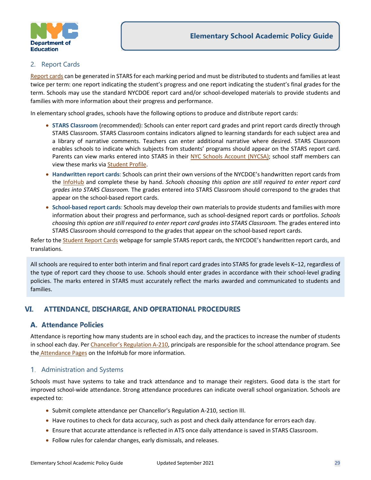

#### <span id="page-28-0"></span>2. Report Cards

[Report cards](https://wiki.nycenet.edu/display/HSST/Report+Cards) can be generated in STARS for each marking period and must be distributed to students and families at least twice per term: one report indicating the student's progress and one report indicating the student's final grades for the term. Schools may use the standard NYCDOE report card and/or school-developed materials to provide students and families with more information about their progress and performance.

In elementary school grades, schools have the following options to produce and distribute report cards:

- **STARS Classroom** (recommended): Schools can enter report card grades and print report cards directly through STARS Classroom. STARS Classroom contains indicators aligned to learning standards for each subject area and a library of narrative comments. Teachers can enter additional narrative where desired. STARS Classroom enables schools to indicate which subjects from students' programs should appear on the STARS report card. Parents can view marks entered into STARS in their [NYC Schools Account \(NYCSA\);](https://wiki.nycenet.edu/display/NSA/NYC+Schools+Account) school staff members can view these marks vi[a Student Profile.](https://wiki.nycenet.edu/display/SP/NYC+Student+Profile)
- **Handwritten report cards**: Schools can print their own versions of the NYCDOE's handwritten report cards from the [InfoHub](https://infohub.nyced.org/nyc-doe-topics/Policies/academic-policy-resources/student-report-cards) and complete these by hand. *Schools choosing this option are still required to enter report card grades into STARS Classroom.* The grades entered into STARS Classroom should correspond to the grades that appear on the school-based report cards.
- **School-based report cards**: Schools may develop their own materials to provide students and families with more information about their progress and performance, such as school-designed report cards or portfolios. *Schools choosing this option are still required to enter report card grades into STARS Classroom.* The grades entered into STARS Classroom should correspond to the grades that appear on the school-based report cards.

Refer to th[e Student Report Cards](https://infohub.nyced.org/nyc-doe-topics/Policies/academic-policy-resources/student-report-cards) webpage for sample STARS report cards, the NYCDOE's handwritten report cards, and translations.

All schools are required to enter both interim and final report card grades into STARS for grade levels K–12, regardless of the type of report card they choose to use. Schools should enter grades in accordance with their school-level grading policies. The marks entered in STARS must accurately reflect the marks awarded and communicated to students and families.

#### <span id="page-28-1"></span>VI. **ATTENDANCE, DISCHARGE, AND OPERATIONAL PROCEDURES**

#### <span id="page-28-2"></span>**A. Attendance Policies**

Attendance is reporting how many students are in school each day, and the practices to increase the number of students in school each day. Pe[r Chancellor's Regulation A-210,](https://www.schools.nyc.gov/school-life/policies-for-all/chancellors-regulations/volume-a-regulations) principals are responsible for the school attendance program. See the **[Attendance Pages](https://infohub.nyced.org/nyc-doe-topics/Policies/attendance) on the InfoHub for more information.** 

#### <span id="page-28-3"></span>1. Administration and Systems

Schools must have systems to take and track attendance and to manage their registers. Good data is the start for improved school-wide attendance. Strong attendance procedures can indicate overall school organization. Schools are expected to:

- Submit complete attendance per [Chancellor's Regulation A-210,](https://www.schools.nyc.gov/docs/default-source/default-document-library/a-210-english) section III.
- Have routines to check for data accuracy, such as post and check daily attendance for errors each day.
- Ensure that accurate attendance is reflected in ATS once daily attendance is saved in STARS Classroom.
- Follow rules for calendar changes, early dismissals, and releases.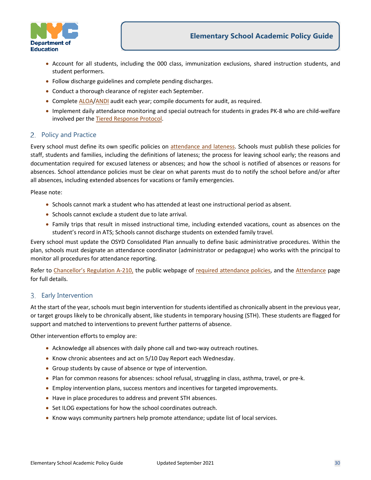

- Account for all students, including the 000 class, immunization exclusions, shared instruction students, and student performers.
- Follow discharge guidelines and complete pending discharges.
- Conduct a thorough clearance of register each September.
- Complete [ALOA/](https://wiki.nycenet.edu/display/ATSWiki/Audit+Low+October+Attendance+-+ALOA)[ANDI](https://wiki.nycenet.edu/display/ATSWiki/Audit+November+Discharges+-+ANDI) audit each year; compile documents for audit, as required.
- Implement daily attendance monitoring and special outreach for students in grades PK-8 who are child-welfare involved per the [Tiered Response Protocol.](https://infohub.nyced.org/nyc-doe-topics/Policies/attendance/attendance-announcements#TRP)

#### <span id="page-29-0"></span>2. Policy and Practice

Every school must define its own specific policies on [attendance and lateness.](https://infohub.nyced.org/nyc-doe-topics/Policies/attendance/policy-and-practice#pol) Schools must publish these policies for staff, students and families, including the definitions of lateness; the process for leaving school early; the reasons and documentation required for excused lateness or absences; and how the school is notified of absences or reasons for absences. School attendance policies must be clear on what parents must do to notify the school before and/or after all absences, including extended absences for vacations or family emergencies.

Please note:

- Schools cannot mark a student who has attended at least one instructional period as absent.
- Schools cannot exclude a student due to late arrival.
- Family trips that result in missed instructional time, including extended vacations, count as absences on the student's record in ATS; Schools cannot discharge students on extended family travel.

Every school must update the OSYD Consolidated Plan annually to define basic administrative procedures. Within the plan, schools must designate an attendance coordinator (administrator or pedagogue) who works with the principal to monitor all procedures for attendance reporting.

Refer to Chancellor's [Regulation A-210,](https://www.schools.nyc.gov/school-life/policies-for-all/chancellors-regulations/volume-a-regulations) the public webpage of [required attendance policies,](https://www.schools.nyc.gov/school-life/rules-for-students/attendance) and the [Attendance](https://infohub.nyced.org/nyc-doe-topics/Policies/attendance) page for full details.

#### <span id="page-29-1"></span>3. Early Intervention

At the start of the year, schools must begin intervention for students identified as chronically absent in the previous year, or target groups likely to be chronically absent, like students in temporary housing (STH). These students are flagged for support and matched to interventions to prevent further patterns of absence.

Other intervention efforts to employ are:

- Acknowledge all absences with daily phone call and two-way outreach routines.
- Know chronic absentees and act on 5/10 Day Report each Wednesday.
- Group students by cause of absence or type of intervention.
- Plan for common reasons for absences: school refusal, struggling in class, asthma, travel, or pre-k.
- Employ intervention plans, success mentors and incentives for targeted improvements.
- Have in place procedures to address and prevent STH absences.
- Set ILOG expectations for how the school coordinates outreach.
- Know ways community partners help promote attendance; update list of local services.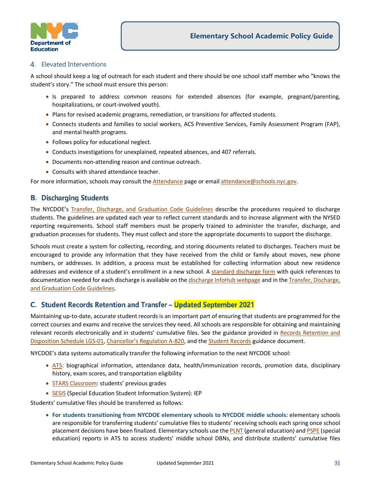

#### <span id="page-30-0"></span>4. Elevated Interventions

A school should keep a log of outreach for each student and there should be one school staff member who "knows the student's story." The school must ensure this person:

- Is prepared to address common reasons for extended absences (for example, pregnant/parenting, hospitalizations, or court-involved youth).
- Plans for revised academic programs, remediation, or transitions for affected students.
- Connects students and families to social workers, ACS Preventive Services, Family Assessment Program (FAP), and mental health programs.
- Follows policy for educational neglect.
- Conducts investigations for unexplained, repeated absences, and 407 referrals.
- Documents non-attending reason and continue outreach.
- Consults with shared attendance teacher.

For more information, schools may consult th[e Attendance](https://infohub.nyced.org/nyc-doe-topics/Policies/attendance) page or email [attendance@schools.nyc.gov.](mailto:attendance@schools.nyc.gov)

#### <span id="page-30-1"></span>**B. Discharging Students**

The NYCDOE's [Transfer, Discharge, and Graduation Code Guidelines](https://infohub.nyced.org/docs/default-source/doe-employees-only/transfer-discharge-and-graduation-guidelines.pdf) describe the procedures required to discharge students. The guidelines are updated each year to reflect current standards and to increase alignment with the NYSED reporting requirements. School staff members must be properly trained to administer the transfer, discharge, and graduation processes for students. They must collect and store the appropriate documents to support the discharge.

Schools must create a system for collecting, recording, and storing documents related to discharges. Teachers must be encouraged to provide any information that they have received from the child or family about moves, new phone numbers, or addresses. In addition, a process must be established for collecting information about new residence addresses and evidence of a student's enrollment in a new school. A [standard discharge form](https://infohub.nyced.org/docs/default-source/doe-employees-only/student-discharge-pdf-form.pdf) with quick references to documentation needed for each discharge is available on the discharge [InfoHub webpage](https://infohub.nyced.org/nyc-doe-topics/Policies/discharges) and in the Transfer, Discharge, [and Graduation Code Guidelines.](https://infohub.nyced.org/docs/default-source/doe-employees-only/transfer-discharge-and-graduation-guidelines.pdf)

#### <span id="page-30-2"></span>C. Student Records Retention and Transfer - Updated September 2021

Maintaining up-to-date, accurate student records is an important part of ensuring that students are programmed for the correct courses and exams and receive the services they need. All schools are responsible for obtaining and maintaining relevant records electronically and in students' cumulative files. See the guidance provided in Records Retention and [Disposition Schedule LGS-01,](http://www.archives.nysed.gov/common/archives/files/lgs1.pdf) [Chancellor's Regulation A-820,](https://www.schools.nyc.gov/docs/default-source/default-document-library/a-820-6-29-2009-final-combined-remediated-wcag2-0) and the [Student Records](https://infohub.nyced.org/docs/default-source/doe-employees-only/AcPolicy-StudentRecords) guidance document.

NYCDOE's data systems automatically transfer the following information to the next NYCDOE school:

- [ATS:](https://schools.ra.nyc.gov/dana/home/index.cgi) biographical information, attendance data, health/immunization records, promotion data, disciplinary history, exam scores, and transportation eligibility
- **[STARS Classroom:](https://www.nycenet.edu/starsclassroom) students' previous grades**
- [SESIS](https://sesis.nycenet.edu/userlogin.aspx) (Special Education Student Information System): IEP

Students' cumulative files should be transferred as follows:

• **For students transitioning from NYCDOE elementary schools to NYCDOE middle schools:** elementary schools are responsible for transferring students' cumulative files to students' receiving schools each spring once school placement decisions have been finalized. Elementary schools use th[e PLNT](https://wiki.nycenet.edu/display/ATSWiki/Print+List+Notice+-+PLNT?src=search) (general education) an[d PSPE](https://wiki.nycenet.edu/display/ATSWiki/Print+Special+Ed.+Checklist+-+PSPE?src=search) (special education) reports in ATS to access students' middle school DBNs, and distribute students' cumulative files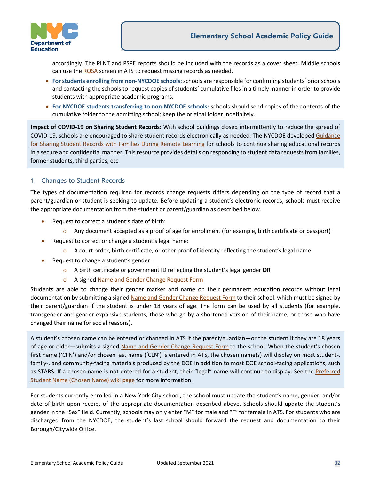

accordingly. The PLNT and PSPE reports should be included with the records as a cover sheet. Middle schools can use th[e RQSA](https://wiki.nycenet.edu/display/ATSWiki/Enter+Action+Request+-+RQSA?src=search) screen in ATS to request missing records as needed.

- **For students enrolling from non-NYCDOE schools:**schools are responsible for confirming students' prior schools and contacting the schools to request copies of students' cumulative files in a timely manner in order to provide students with appropriate academic programs.
- **For NYCDOE students transferring to non-NYCDOE schools:** schools should send copies of the contents of the cumulative folder to the admitting school; keep the original folder indefinitely.

**Impact of COVID-19 on Sharing Student Records:** With school buildings closed intermittently to reduce the spread of COVID-19, schools are encouraged to share student records electronically as needed. The NYCDOE develope[d Guidance](https://infohub.nyced.org/docs/default-source/doe-employees-only/guidance-for-sharing-student-records-with-families-during-remote-learning.pdf)  [for Sharing Student Records with Families During Remote Learning](https://infohub.nyced.org/docs/default-source/doe-employees-only/guidance-for-sharing-student-records-with-families-during-remote-learning.pdf) for schools to continue sharing educational records in a secure and confidential manner. This resource provides details on responding to student data requests from families, former students, third parties, etc.

#### <span id="page-31-0"></span>1. Changes to Student Records

The types of documentation required for records change requests differs depending on the type of record that a parent/guardian or student is seeking to update. Before updating a student's electronic records, schools must receive the appropriate documentation from the student or parent/guardian as described below.

- Request to correct a student's date of birth:
	- o Any document accepted as a proof of age for enrollment (for example, birth certificate or passport)
- Request to correct or change a student's legal name:
	- o A court order, birth certificate, or other proof of identity reflecting the student's legal name
- Request to change a student's gender:
	- o A birth certificate or government ID reflecting the student's legal gender **OR**
	- o A signed [Name and Gender Change Request Form](https://www.schools.nyc.gov/docs/default-source/default-document-library/name-and-gender-change-request-form-wgac.pdf)

Students are able to change their gender marker and name on their permanent education records without legal documentation by submitting a signed [Name and Gender Change Request Form](https://www.schools.nyc.gov/docs/default-source/default-document-library/name-and-gender-change-request-form-wgac.pdf) to their school, which must be signed by their parent/guardian if the student is under 18 years of age. The form can be used by all students (for example, transgender and gender expansive students, those who go by a shortened version of their name, or those who have changed their name for social reasons).

A student's chosen name can be entered or changed in ATS if the parent/guardian—or the student if they are 18 years of age or older—submits a signed [Name and Gender Change Request Form](https://cdn-blob-prd.azureedge.net/prd-pws/docs/default-source/default-document-library/name-and-gender-change-request-form-wgac.pdf) to the school. When the student's chosen first name ('CFN') and/or chosen last name ('CLN') is entered in ATS, the chosen name(s) will display on most student-, family-, and community-facing materials produced by the DOE in addition to most DOE school-facing applications, such as STARS. If a chosen name is not entered for a student, their "legal" name will continue to display. See the [Preferred](https://wiki.nycenet.edu/pages/viewpage.action?pageId=221219126)  [Student Name \(Chosen Name\) wiki page](https://wiki.nycenet.edu/pages/viewpage.action?pageId=221219126) for more information.

For students currently enrolled in a New York City school, the school must update the student's name, gender, and/or date of birth upon receipt of the appropriate documentation described above. Schools should update the student's gender in the "Sex" field. Currently, schools may only enter "M" for male and "F" for female in ATS. For students who are discharged from the NYCDOE, the student's last school should forward the request and documentation to their Borough/Citywide Office.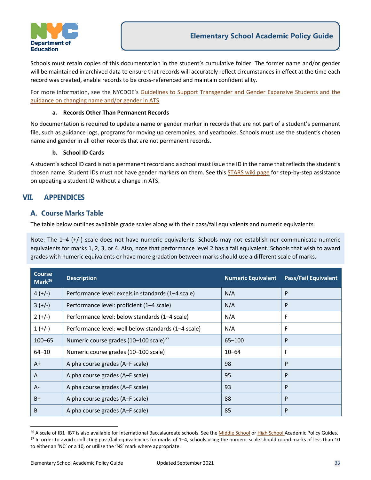

Schools must retain copies of this documentation in the student's cumulative folder. The former name and/or gender will be maintained in archived data to ensure that records will accurately reflect circumstances in effect at the time each record was created, enable records to be cross-referenced and maintain confidentiality.

For more information, see the NYCDOE's [Guidelines to Support Transgender and Gender Expansive Students](https://www.schools.nyc.gov/school-life/policies-for-all/guidelines-on-gender/guidelines-to-support-transgender-and-gender-expansive-students) and the [guidance on changing name and/or gender in ATS.](https://wiki.nycenet.edu/pages/viewpage.action?pageId=221219126)

#### **a. Records Other Than Permanent Records**

No documentation is required to update a name or gender marker in records that are not part of a student's permanent file, such as guidance logs, programs for moving up ceremonies, and yearbooks. Schools must use the student's chosen name and gender in all other records that are not permanent records.

#### **b. School ID Cards**

A student's school ID card is not a permanent record and a school must issue the ID in the name that reflects the student's chosen name. Student IDs must not have gender markers on them. See this **STARS wiki page for step-by-step assistance** on updating a student ID without a change in ATS.

#### <span id="page-32-0"></span>**APPENDICES** VII.

#### <span id="page-32-1"></span>**A. Course Marks Table**

The table below outlines available grade scales along with their pass/fail equivalents and numeric equivalents.

Note: The 1–4 (+/-) scale does not have numeric equivalents. Schools may not establish nor communicate numeric equivalents for marks 1, 2, 3, or 4. Also, note that performance level 2 has a fail equivalent. Schools that wish to award grades with numeric equivalents or have more gradation between marks should use a different scale of marks.

| <b>Course</b><br>Mark $^{26}$ | <b>Description</b>                                  | <b>Numeric Equivalent</b> | <b>Pass/Fail Equivalent</b> |
|-------------------------------|-----------------------------------------------------|---------------------------|-----------------------------|
| $4 (+/-)$                     | Performance level: excels in standards (1-4 scale)  | N/A                       | P                           |
| $3 (+/-)$                     | Performance level: proficient (1-4 scale)           | N/A                       | P                           |
| $2 (+/-)$                     | Performance level: below standards (1-4 scale)      | N/A                       | F                           |
| $1 (+/-)$                     | Performance level: well below standards (1-4 scale) | N/A                       | F                           |
| $100 - 65$                    | Numeric course grades (10-100 scale) <sup>27</sup>  | $65 - 100$                | P                           |
| $64 - 10$                     | Numeric course grades (10-100 scale)                | $10 - 64$                 | F                           |
| $A+$                          | Alpha course grades (A-F scale)                     | 98                        | P                           |
| A                             | Alpha course grades (A–F scale)                     | 95                        | P                           |
| $A -$                         | Alpha course grades (A–F scale)                     | 93                        | P                           |
| $B+$                          | Alpha course grades (A-F scale)                     | 88                        | P                           |
| B                             | Alpha course grades (A-F scale)                     | 85                        | P                           |

<span id="page-32-3"></span><span id="page-32-2"></span><sup>&</sup>lt;sup>26</sup> A scale of IB1-IB7 is also available for International Baccalaureate schools. See the [Middle School](https://infohub.nyced.org/docs/default-source/default-document-library/AcPolicy-MiddleSchoolAcademicPolicyGuide) o[r High School](https://infohub.nyced.org/docs/default-source/default-document-library/AcPolicy-HighSchoolAcademicPolicyGuide) Academic Policy Guides.  $27$  In order to avoid conflicting pass/fail equivalencies for marks of 1–4, schools using the numeric scale should round marks of less than 10 to either an 'NC' or a 10, or utilize the 'NS' mark where appropriate.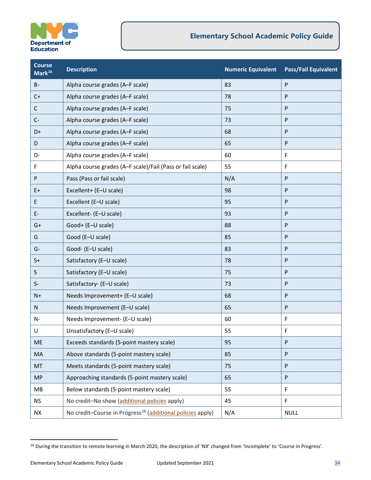

## **Elementary School Academic Policy Guide**

| <b>Course</b><br>Mark <sup>26</sup> | <b>Description</b>                                                     | <b>Numeric Equivalent</b> | <b>Pass/Fail Equivalent</b> |
|-------------------------------------|------------------------------------------------------------------------|---------------------------|-----------------------------|
| $B -$                               | Alpha course grades (A-F scale)                                        | 83                        | P                           |
| $C+$                                | Alpha course grades (A-F scale)                                        | 78                        | P                           |
| C                                   | Alpha course grades (A-F scale)                                        | 75                        | P                           |
| $C-$                                | Alpha course grades (A-F scale)                                        | 73                        | $\mathsf{P}$                |
| $D+$                                | Alpha course grades (A-F scale)                                        | 68                        | P                           |
| D                                   | Alpha course grades (A-F scale)                                        | 65                        | P                           |
| D-                                  | Alpha course grades (A-F scale)                                        | 60                        | $\mathsf F$                 |
| F                                   | Alpha course grades (A-F scale)/Fail (Pass or fail scale)              | 55                        | F                           |
| P                                   | Pass (Pass or fail scale)                                              | N/A                       | P                           |
| $E+$                                | Excellent+ (E-U scale)                                                 | 98                        | P                           |
| Ε                                   | Excellent (E-U scale)                                                  | 95                        | P                           |
| Ε.                                  | Excellent- (E-U scale)                                                 | 93                        | P                           |
| $G+$                                | Good+ (E-U scale)                                                      | 88                        | P                           |
| G                                   | Good (E-U scale)                                                       | 85                        | P                           |
| $G-$                                | Good- (E-U scale)                                                      | 83                        | P                           |
| $S+$                                | Satisfactory (E-U scale)                                               | 78                        | P                           |
| $\sf S$                             | Satisfactory (E-U scale)                                               | 75                        | $\mathsf{P}$                |
| $S-$                                | Satisfactory- (E-U scale)                                              | 73                        | P                           |
| $N+$                                | Needs Improvement+ (E-U scale)                                         | 68                        | P                           |
| N                                   | Needs Improvement (E-U scale)                                          | 65                        | $\mathsf{P}$                |
| N-                                  | Needs Improvement- (E-U scale)                                         | 60                        | F                           |
| U                                   | Unsatisfactory (E-U scale)                                             | 55                        | F                           |
| <b>ME</b>                           | Exceeds standards (5-point mastery scale)                              | 95                        | P                           |
| MA                                  | Above standards (5-point mastery scale)                                | 85                        | P                           |
| MT                                  | Meets standards (5-point mastery scale)                                | 75                        | P                           |
| <b>MP</b>                           | Approaching standards (5-point mastery scale)                          | 65                        | P                           |
| MB                                  | Below standards (5-point mastery scale)                                | 55                        | F                           |
| <b>NS</b>                           | No credit-No show (additional policies apply)                          | 45                        | F                           |
| <b>NX</b>                           | No credit-Course in Progress <sup>28</sup> (additional policies apply) | N/A                       | <b>NULL</b>                 |

<span id="page-33-0"></span><sup>&</sup>lt;sup>28</sup> During the transition to remote learning in March 2020, the description of 'NX' changed from 'Incomplete' to 'Course in Progress'.